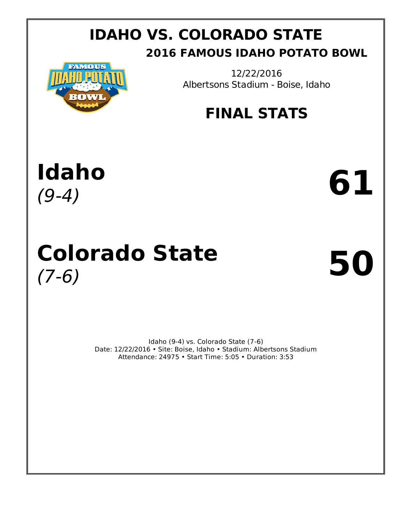## **IDAHO VS. COLORADO STATE 2016 FAMOUS IDAHO POTATO BOWL**



12/22/2016 Albertsons Stadium - Boise, Idaho

# **FINAL STATS**



# **Colorado State** (7-6) **50**

Idaho (9-4) vs. Colorado State (7-6) Date: 12/22/2016 • Site: Boise, Idaho • Stadium: Albertsons Stadium Attendance: 24975 • Start Time: 5:05 • Duration: 3:53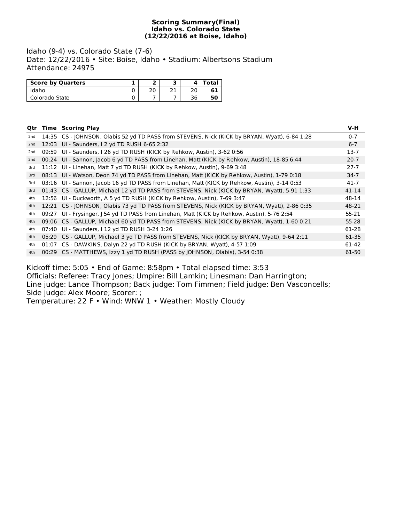#### **Scoring Summary(Final) Idaho vs. Colorado State (12/22/2016 at Boise, Idaho)**

Idaho (9-4) vs. Colorado State (7-6) Date: 12/22/2016 • Site: Boise, Idaho • Stadium: Albertsons Stadium Attendance: 24975

| <b>Score by Quarters</b> |          |             |     | Total |
|--------------------------|----------|-------------|-----|-------|
| Idaho                    | ົາ<br>zu | <b>D.P.</b> | ົາດ |       |
| Colorado State           |          |             | 36  | 50    |

|     |       | <b>Qtr Time Scoring Play</b>                                                                  | V-H       |
|-----|-------|-----------------------------------------------------------------------------------------------|-----------|
| 2nd |       | 14:35 CS - JOHNSON, Olabis 52 yd TD PASS from STEVENS, Nick (KICK by BRYAN, Wyatt), 6-84 1:28 | $0 - 7$   |
| 2nd |       | 12:03 UI - Saunders, I 2 yd TD RUSH 6-65 2:32                                                 | $6 - 7$   |
| 2nd | 09:59 | UI - Saunders, I 26 yd TD RUSH (KICK by Rehkow, Austin), 3-62 0:56                            | $13-7$    |
| 2nd |       | 00:24 UI - Sannon, Jacob 6 yd TD PASS from Linehan, Matt (KICK by Rehkow, Austin), 18-85 6:44 | $20 - 7$  |
| 3rd |       | 11:12 UI - Linehan, Matt 7 yd TD RUSH (KICK by Rehkow, Austin), 9-69 3:48                     | $27 - 7$  |
| 3rd |       | 08:13 UI - Watson, Deon 74 yd TD PASS from Linehan, Matt (KICK by Rehkow, Austin), 1-79 0:18  | $34-7$    |
| 3rd |       | 03:16 UI - Sannon, Jacob 16 yd TD PASS from Linehan, Matt (KICK by Rehkow, Austin), 3-14 0:53 | $41 - 7$  |
| 3rd |       | 01:43 CS - GALLUP, Michael 12 yd TD PASS from STEVENS, Nick (KICK by BRYAN, Wyatt), 5-91 1:33 | $41 - 14$ |
| 4th |       | 12:56 UI - Duckworth, A 5 yd TD RUSH (KICK by Rehkow, Austin), 7-69 3:47                      | 48-14     |
| 4th |       | 12:21 CS - JOHNSON, Olabis 73 yd TD PASS from STEVENS, Nick (KICK by BRYAN, Wyatt), 2-86 0:35 | 48-21     |
| 4th | 09:27 | UI - Frysinger, J 54 yd TD PASS from Linehan, Matt (KICK by Rehkow, Austin), 5-76 2:54        | 55-21     |
| 4th |       | 09:06 CS - GALLUP, Michael 60 yd TD PASS from STEVENS, Nick (KICK by BRYAN, Wyatt), 1-60 0:21 | 55-28     |
| 4th | 07:40 | UI - Saunders, I 12 yd TD RUSH 3-24 1:26                                                      | 61-28     |
| 4th |       | 05:29 CS - GALLUP, Michael 3 yd TD PASS from STEVENS, Nick (KICK by BRYAN, Wyatt), 9-64 2:11  | 61-35     |
| 4th |       | 01:07 CS - DAWKINS, Dalyn 22 yd TD RUSH (KICK by BRYAN, Wyatt), 4-57 1:09                     | 61-42     |
| 4th |       | 00:29 CS - MATTHEWS, Izzy 1 yd TD RUSH (PASS by JOHNSON, Olabis), 3-54 0:38                   | 61-50     |
|     |       |                                                                                               |           |

Kickoff time: 5:05 • End of Game: 8:58pm • Total elapsed time: 3:53 Officials: Referee: Tracy Jones; Umpire: Bill Lamkin; Linesman: Dan Harrington; Line judge: Lance Thompson; Back judge: Tom Fimmen; Field judge: Ben Vasconcells; Side judge: Alex Moore; Scorer: ;

Temperature: 22 F • Wind: WNW 1 • Weather: Mostly Cloudy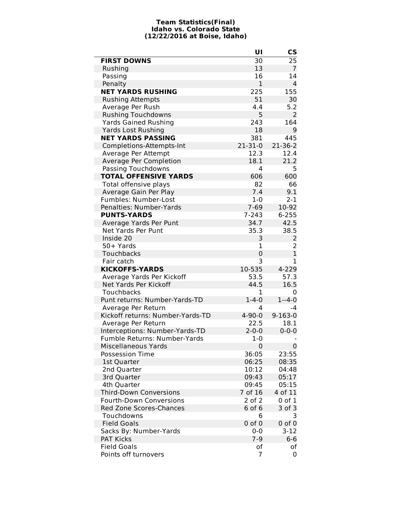#### **Team Statistics(Final) Idaho vs. Colorado State (12/22/2016 at Boise, Idaho)**

|                                  | UI             | <b>CS</b>        |
|----------------------------------|----------------|------------------|
| <b>FIRST DOWNS</b>               | 30             | 25               |
| Rushing                          | 13             | $\overline{7}$   |
| Passing                          | 16             | 14               |
| Penalty                          | $\mathbf 1$    | $\overline{4}$   |
| <b>NET YARDS RUSHING</b>         | 225            | 155              |
| <b>Rushing Attempts</b>          | 51             | 30               |
| Average Per Rush                 | 4.4            | 5.2              |
| <b>Rushing Touchdowns</b>        | 5              | 2                |
| <b>Yards Gained Rushing</b>      | 243            | 164              |
| <b>Yards Lost Rushing</b>        | 18             | 9                |
| <b>NET YARDS PASSING</b>         | 381            | 445              |
| Completions-Attempts-Int         | $21 - 31 - 0$  | $21 - 36 - 2$    |
| Average Per Attempt              | 12.3           | 12.4             |
| Average Per Completion           | 18.1           | 21.2             |
| Passing Touchdowns               | 4              | 5                |
| <b>TOTAL OFFENSIVE YARDS</b>     | 606            | 600              |
| Total offensive plays            | 82             | 66               |
| Average Gain Per Play            | 7.4            | 9.1              |
| Fumbles: Number-Lost             | $1 - 0$        | $2 - 1$          |
| Penalties: Number-Yards          | $7 - 69$       | 10-92            |
| <b>PUNTS-YARDS</b>               | $7 - 243$      | $6 - 255$        |
| Average Yards Per Punt           | 34.7           | 42.5             |
| Net Yards Per Punt               | 35.3           | 38.5             |
| Inside 20                        | 3              | $\overline{2}$   |
| 50+ Yards                        | 1              | $\overline{2}$   |
| Touchbacks                       | $\mathbf 0$    | $\mathbf{1}$     |
| Fair catch                       | 3              | 1                |
| <b>KICKOFFS-YARDS</b>            | 10-535         | 4-229            |
| Average Yards Per Kickoff        | 53.5           | 57.3             |
| Net Yards Per Kickoff            | 44.5           | 16.5             |
| Touchbacks                       | 1              | 0                |
| Punt returns: Number-Yards-TD    | $1 - 4 - 0$    | $1 - 4 - 0$      |
| Average Per Return               | 4              | $-4$             |
| Kickoff returns: Number-Yards-TD | $4 - 90 - 0$   | $9 - 163 - 0$    |
| Average Per Return               | 22.5           | 18.1             |
| Interceptions: Number-Yards-TD   | $2 - 0 - 0$    | $0 - 0 - 0$      |
| Fumble Returns: Number-Yards     | $1 - 0$        |                  |
| Miscellaneous Yards              | $\overline{0}$ | $\boldsymbol{0}$ |
| <b>Possession Time</b>           | 36:05          | 23:55            |
| 1st Quarter                      | 06:25          | 08:35            |
| 2nd Quarter                      | 10:12          | 04:48            |
| 3rd Quarter                      | 09:43          | 05:17            |
| 4th Quarter                      | 09:45          | 05:15            |
| <b>Third-Down Conversions</b>    | 7 of 16        | 4 of 11          |
| <b>Fourth-Down Conversions</b>   | 2 of 2         | 0 of 1           |
| <b>Red Zone Scores-Chances</b>   | 6 of 6         | 3 of 3           |
| Touchdowns                       | 6              | 3                |
| <b>Field Goals</b>               | $0$ of $0$     | $0$ of $0$       |
| Sacks By: Number-Yards           | $0 - 0$        | $3-12$           |
| <b>PAT Kicks</b>                 | $7 - 9$        | $6-6$            |
| <b>Field Goals</b>               | of             | оf               |
| Points off turnovers             | 7              | 0                |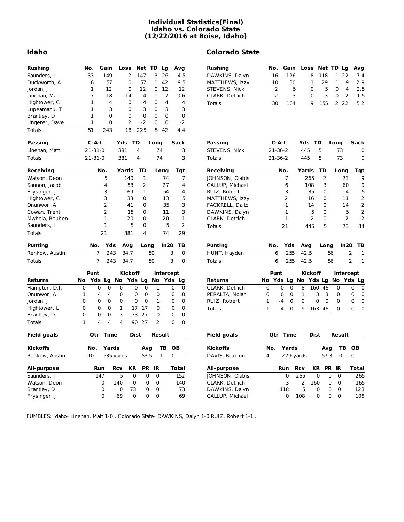#### **Individual Statistics(Final) Idaho vs. Colorado State (12/22/2016 at Boise, Idaho)**

| 149<br>$\overline{2}$<br>147<br>3<br>26<br>16<br>8<br>22<br>33<br>4.5<br>DAWKINS, Dalyn<br>126<br>118<br>1<br>Saunders, I<br>6<br>57<br>$\mathbf{0}$<br>57<br>1<br>42<br>9.5<br>10<br>30<br>29<br>1<br>9<br>Duckworth, A<br>MATTHEWS, Izzy<br>1<br>$\mathbf 1$<br>12<br>$\overline{2}$<br>5<br>5<br>$\Omega$<br>$\overline{4}$<br>12<br>$\Omega$<br>12<br>0<br>12<br>0<br>Jordan, J<br>STEVENS, Nick<br>7<br>$\overline{7}$<br>2<br>3<br>3<br>0<br>2<br>18<br>14<br>4<br>1<br>0.6<br>0<br>Linehan, Matt<br>CLARK, Detrich<br>1<br>4<br>4<br>0<br>4<br>4<br>0<br>Hightower, C<br>30<br>164<br>9<br>155<br>$\overline{2}$<br>22<br><b>Totals</b><br>1<br>3<br>0<br>3<br>3<br>0<br>3<br>Lupeamanu, T<br>$\mathbf 0$<br>1<br>0<br>$\mathbf 0$<br>0<br>0<br>$\Omega$<br>Brantley, D<br>1<br>$\overline{2}$<br>$-2$<br>$-2$<br>0<br>0<br>0<br>Ungerer, Dave<br>4.4<br>51<br>243<br>18<br>225<br>5<br>42<br><b>Totals</b><br><b>Passing</b><br>$C-A-I$<br>Yds<br>TD<br>$C-A-I$<br>Yds TD<br>Long<br>Sack<br>Passing<br>Long<br>$21 - 31 - 0$<br>381<br>4<br>74<br>$21 - 36 - 2$<br>445<br>5<br>Linehan, Matt<br>3<br>STEVENS, Nick<br>73<br>3<br>$21 - 31 - 0$<br>381<br>4<br>74<br>445<br>5<br>73<br><b>Totals</b><br>$21 - 36 - 2$<br><b>Totals</b><br>Yards<br>TD<br>TD<br>Receiving<br>No.<br>Long<br>Tgt<br>Receiving<br>No.<br>Yards<br>Long<br>5<br>140<br>1<br>74<br>7<br>7<br>265<br>2<br>73<br>Watson, Deon<br>JOHNSON, Olabis<br>27<br>108<br>Sannon, Jacob<br>4<br>58<br>2<br>4<br>GALLUP, Michael<br>6<br>3<br>60<br>3<br>69<br>1<br>54<br>4<br>3<br>0<br>14<br>Frysinger, J<br>RUIZ, Robert<br>35<br>3<br>33<br>$\Omega$<br>13<br>5<br>2<br>$\Omega$<br>11<br>Hightower, C<br>MATTHEWS, Izzy<br>16<br>2<br>3<br>41<br>0<br>35<br>FACKRELL, Dalto<br>1<br>14<br>0<br>14<br>Onunwor, A<br>2<br>3<br>5<br>15<br>0<br>11<br>1<br>5<br>0<br>Cowan, Trent<br>DAWKINS, Dalyn<br>1<br>1<br>Mwhela, Reuben<br>20<br>0<br>20<br>1<br>2<br>0<br>2<br>CLARK, Detrich<br>1<br>5<br>5<br>2<br>Saunders, I<br>0<br>73<br>445<br>5<br>21<br><b>Totals</b><br>$\overline{74}$<br>29<br>21<br>381<br>$\overline{\mathbf{A}}$<br><b>Totals</b><br><b>Punting</b><br>Yds<br>Avg<br>In20<br>ТB<br><b>Punting</b><br>Yds<br>No.<br>Long<br>No.<br>Avg<br>Long<br>Rehkow, Austin<br>$\overline{7}$<br>243<br>34.7<br>50<br>3<br>0<br>HUNT, Hayden<br>6<br>255<br>42.5<br>56<br>$\overline{7}$<br>3<br>$\mathbf 0$<br>243<br>34.7<br>50<br>6<br>255<br>42.5<br>56<br><b>Totals</b><br>Totals<br>Punt<br><b>Kickoff</b><br>Intercept<br>Punt<br><b>Kickoff</b><br><b>Interc</b><br>Yds Lg<br>No Yds Lg<br>Yds Lg<br>No Yds Lg<br>No<br>No<br>Yds<br><b>Returns</b><br>No<br>No Yd<br><b>Returns</b><br>Lg<br>$\overline{0}$<br>$\mathbf 0$<br>$\mathsf 0$<br>o<br>8<br>160 46<br>0<br>$\mathbf 0$<br>$\mathbf 0$<br>0<br>$\mathbf 0$<br>1<br>CLARK, Detrich<br>0<br>0<br>0<br>Hampton, D.J.<br>$\overline{0}$<br>4<br>0<br>0<br>3<br>Onunwor, A<br>1<br>4<br>0<br>0<br>0<br>0<br>PERALTA, Nolan<br>0<br>0<br>1<br>3<br>0<br>$\mathbf 0$<br>$\mathbf 0$<br>$\mathbf{1}$<br>0<br>1<br>$-4$<br>0<br>0<br>$\overline{0}$<br>0<br>Jordan, J<br>0<br>0<br>0<br>0<br>0<br>RUIZ, Robert<br>0<br>$\mathbf 0$<br>$\Omega$<br>$\mathbf{1}$<br>17<br>17<br>$\Omega$<br>$\mathbf{0}$<br>0<br>Hightower, L<br>0<br>$\mathbf{1}$<br>$-4$<br>$\mathbf 0$<br>9<br><b>Totals</b><br>163 46<br>$\Omega$<br>$\mathbf 0$<br>73<br>27<br>$\mathbf 0$<br>3<br>0<br>0<br>0<br>Brantley, D<br>0<br>$\mathbf{1}$<br>4<br>$\overline{2}$<br>$\overline{0}$<br>$\overline{0}$<br>4<br>4<br>90<br>27<br><b>Totals</b><br>Time<br><b>Dist</b><br>Result<br><b>Field goals</b><br><b>Qtr Time</b><br>Dist<br><b>Field goals</b><br>Qtr<br>Result<br><b>Kickoffs</b><br>No.<br>Yards<br>ΤВ<br><b>OB</b><br><b>Kickoffs</b><br>Yards<br>ΤВ<br>Avg<br>No.<br>Avg<br>10<br>53.5<br>1<br>0<br>DAVIS, Braxton<br>229 yards<br>57.3<br>$\mathbf 0$<br>Rehkow, Austin<br>535 yards<br>4<br>KR<br>PR<br>IR<br><b>Rcv</b><br>KR<br>PR IR<br><b>All-purpose</b><br>Run<br><b>Rcv</b><br>Total<br>All-purpose<br>Run<br>5<br>152<br>265<br>$\mathbf 0$<br>147<br>0<br>0<br>$\mathbf 0$<br>JOHNSON, Olabis<br>0<br>$\mathbf 0$<br>0<br>Saunders, I<br>3<br>2<br>0<br>0<br>0<br>0<br>140<br>160<br>0<br>0<br>Watson, Deon<br>140<br>CLARK, Detrich<br>5<br>0<br>73<br>0<br>$\mathbf 0$<br>118<br>0<br>0<br>0<br>73<br>DAWKINS, Dalyn<br>0<br>Brantley, D<br>0<br>$\Omega$<br>$\mathbf 0$<br>$\Omega$<br>69<br>$\Omega$<br>$\Omega$<br>69<br>0<br>108<br>$\Omega$ | <b>Rushing</b> | No. | Gain | Loss | Net TD Lg |  | Avg | <b>Rushing</b>  | No. | Gain | Loss | Net TD Lg |      |
|---------------------------------------------------------------------------------------------------------------------------------------------------------------------------------------------------------------------------------------------------------------------------------------------------------------------------------------------------------------------------------------------------------------------------------------------------------------------------------------------------------------------------------------------------------------------------------------------------------------------------------------------------------------------------------------------------------------------------------------------------------------------------------------------------------------------------------------------------------------------------------------------------------------------------------------------------------------------------------------------------------------------------------------------------------------------------------------------------------------------------------------------------------------------------------------------------------------------------------------------------------------------------------------------------------------------------------------------------------------------------------------------------------------------------------------------------------------------------------------------------------------------------------------------------------------------------------------------------------------------------------------------------------------------------------------------------------------------------------------------------------------------------------------------------------------------------------------------------------------------------------------------------------------------------------------------------------------------------------------------------------------------------------------------------------------------------------------------------------------------------------------------------------------------------------------------------------------------------------------------------------------------------------------------------------------------------------------------------------------------------------------------------------------------------------------------------------------------------------------------------------------------------------------------------------------------------------------------------------------------------------------------------------------------------------------------------------------------------------------------------------------------------------------------------------------------------------------------------------------------------------------------------------------------------------------------------------------------------------------------------------------------------------------------------------------------------------------------------------------------------------------------------------------------------------------------------------------------------------------------------------------------------------------------------------------------------------------------------------------------------------------------------------------------------------------------------------------------------------------------------------------------------------------------------------------------------------------------------------------------------------------------------------------------------------------------------------------------------------------------------------------------------------------------------------------------------------------------------------------------------------------------------------------------------------------------------------------------------------------------------------------------------------------------------------------------------------------------------------------------------------------------------------------------------------------------------------------------------------------------------------------------------------------------------------------------------------------------------------------------------------------------------------------------------------------------------------------------------------------------------|----------------|-----|------|------|-----------|--|-----|-----------------|-----|------|------|-----------|------|
|                                                                                                                                                                                                                                                                                                                                                                                                                                                                                                                                                                                                                                                                                                                                                                                                                                                                                                                                                                                                                                                                                                                                                                                                                                                                                                                                                                                                                                                                                                                                                                                                                                                                                                                                                                                                                                                                                                                                                                                                                                                                                                                                                                                                                                                                                                                                                                                                                                                                                                                                                                                                                                                                                                                                                                                                                                                                                                                                                                                                                                                                                                                                                                                                                                                                                                                                                                                                                                                                                                                                                                                                                                                                                                                                                                                                                                                                                                                                                                                                                                                                                                                                                                                                                                                                                                                                                                                                                                                                                                   |                |     |      |      |           |  |     |                 |     |      |      |           |      |
|                                                                                                                                                                                                                                                                                                                                                                                                                                                                                                                                                                                                                                                                                                                                                                                                                                                                                                                                                                                                                                                                                                                                                                                                                                                                                                                                                                                                                                                                                                                                                                                                                                                                                                                                                                                                                                                                                                                                                                                                                                                                                                                                                                                                                                                                                                                                                                                                                                                                                                                                                                                                                                                                                                                                                                                                                                                                                                                                                                                                                                                                                                                                                                                                                                                                                                                                                                                                                                                                                                                                                                                                                                                                                                                                                                                                                                                                                                                                                                                                                                                                                                                                                                                                                                                                                                                                                                                                                                                                                                   |                |     |      |      |           |  |     |                 |     |      |      |           |      |
|                                                                                                                                                                                                                                                                                                                                                                                                                                                                                                                                                                                                                                                                                                                                                                                                                                                                                                                                                                                                                                                                                                                                                                                                                                                                                                                                                                                                                                                                                                                                                                                                                                                                                                                                                                                                                                                                                                                                                                                                                                                                                                                                                                                                                                                                                                                                                                                                                                                                                                                                                                                                                                                                                                                                                                                                                                                                                                                                                                                                                                                                                                                                                                                                                                                                                                                                                                                                                                                                                                                                                                                                                                                                                                                                                                                                                                                                                                                                                                                                                                                                                                                                                                                                                                                                                                                                                                                                                                                                                                   |                |     |      |      |           |  |     |                 |     |      |      |           |      |
|                                                                                                                                                                                                                                                                                                                                                                                                                                                                                                                                                                                                                                                                                                                                                                                                                                                                                                                                                                                                                                                                                                                                                                                                                                                                                                                                                                                                                                                                                                                                                                                                                                                                                                                                                                                                                                                                                                                                                                                                                                                                                                                                                                                                                                                                                                                                                                                                                                                                                                                                                                                                                                                                                                                                                                                                                                                                                                                                                                                                                                                                                                                                                                                                                                                                                                                                                                                                                                                                                                                                                                                                                                                                                                                                                                                                                                                                                                                                                                                                                                                                                                                                                                                                                                                                                                                                                                                                                                                                                                   |                |     |      |      |           |  |     |                 |     |      |      |           |      |
|                                                                                                                                                                                                                                                                                                                                                                                                                                                                                                                                                                                                                                                                                                                                                                                                                                                                                                                                                                                                                                                                                                                                                                                                                                                                                                                                                                                                                                                                                                                                                                                                                                                                                                                                                                                                                                                                                                                                                                                                                                                                                                                                                                                                                                                                                                                                                                                                                                                                                                                                                                                                                                                                                                                                                                                                                                                                                                                                                                                                                                                                                                                                                                                                                                                                                                                                                                                                                                                                                                                                                                                                                                                                                                                                                                                                                                                                                                                                                                                                                                                                                                                                                                                                                                                                                                                                                                                                                                                                                                   |                |     |      |      |           |  |     |                 |     |      |      |           |      |
|                                                                                                                                                                                                                                                                                                                                                                                                                                                                                                                                                                                                                                                                                                                                                                                                                                                                                                                                                                                                                                                                                                                                                                                                                                                                                                                                                                                                                                                                                                                                                                                                                                                                                                                                                                                                                                                                                                                                                                                                                                                                                                                                                                                                                                                                                                                                                                                                                                                                                                                                                                                                                                                                                                                                                                                                                                                                                                                                                                                                                                                                                                                                                                                                                                                                                                                                                                                                                                                                                                                                                                                                                                                                                                                                                                                                                                                                                                                                                                                                                                                                                                                                                                                                                                                                                                                                                                                                                                                                                                   |                |     |      |      |           |  |     |                 |     |      |      |           |      |
|                                                                                                                                                                                                                                                                                                                                                                                                                                                                                                                                                                                                                                                                                                                                                                                                                                                                                                                                                                                                                                                                                                                                                                                                                                                                                                                                                                                                                                                                                                                                                                                                                                                                                                                                                                                                                                                                                                                                                                                                                                                                                                                                                                                                                                                                                                                                                                                                                                                                                                                                                                                                                                                                                                                                                                                                                                                                                                                                                                                                                                                                                                                                                                                                                                                                                                                                                                                                                                                                                                                                                                                                                                                                                                                                                                                                                                                                                                                                                                                                                                                                                                                                                                                                                                                                                                                                                                                                                                                                                                   |                |     |      |      |           |  |     |                 |     |      |      |           |      |
|                                                                                                                                                                                                                                                                                                                                                                                                                                                                                                                                                                                                                                                                                                                                                                                                                                                                                                                                                                                                                                                                                                                                                                                                                                                                                                                                                                                                                                                                                                                                                                                                                                                                                                                                                                                                                                                                                                                                                                                                                                                                                                                                                                                                                                                                                                                                                                                                                                                                                                                                                                                                                                                                                                                                                                                                                                                                                                                                                                                                                                                                                                                                                                                                                                                                                                                                                                                                                                                                                                                                                                                                                                                                                                                                                                                                                                                                                                                                                                                                                                                                                                                                                                                                                                                                                                                                                                                                                                                                                                   |                |     |      |      |           |  |     |                 |     |      |      |           |      |
|                                                                                                                                                                                                                                                                                                                                                                                                                                                                                                                                                                                                                                                                                                                                                                                                                                                                                                                                                                                                                                                                                                                                                                                                                                                                                                                                                                                                                                                                                                                                                                                                                                                                                                                                                                                                                                                                                                                                                                                                                                                                                                                                                                                                                                                                                                                                                                                                                                                                                                                                                                                                                                                                                                                                                                                                                                                                                                                                                                                                                                                                                                                                                                                                                                                                                                                                                                                                                                                                                                                                                                                                                                                                                                                                                                                                                                                                                                                                                                                                                                                                                                                                                                                                                                                                                                                                                                                                                                                                                                   |                |     |      |      |           |  |     |                 |     |      |      |           |      |
|                                                                                                                                                                                                                                                                                                                                                                                                                                                                                                                                                                                                                                                                                                                                                                                                                                                                                                                                                                                                                                                                                                                                                                                                                                                                                                                                                                                                                                                                                                                                                                                                                                                                                                                                                                                                                                                                                                                                                                                                                                                                                                                                                                                                                                                                                                                                                                                                                                                                                                                                                                                                                                                                                                                                                                                                                                                                                                                                                                                                                                                                                                                                                                                                                                                                                                                                                                                                                                                                                                                                                                                                                                                                                                                                                                                                                                                                                                                                                                                                                                                                                                                                                                                                                                                                                                                                                                                                                                                                                                   |                |     |      |      |           |  |     |                 |     |      |      |           |      |
|                                                                                                                                                                                                                                                                                                                                                                                                                                                                                                                                                                                                                                                                                                                                                                                                                                                                                                                                                                                                                                                                                                                                                                                                                                                                                                                                                                                                                                                                                                                                                                                                                                                                                                                                                                                                                                                                                                                                                                                                                                                                                                                                                                                                                                                                                                                                                                                                                                                                                                                                                                                                                                                                                                                                                                                                                                                                                                                                                                                                                                                                                                                                                                                                                                                                                                                                                                                                                                                                                                                                                                                                                                                                                                                                                                                                                                                                                                                                                                                                                                                                                                                                                                                                                                                                                                                                                                                                                                                                                                   |                |     |      |      |           |  |     |                 |     |      |      |           |      |
|                                                                                                                                                                                                                                                                                                                                                                                                                                                                                                                                                                                                                                                                                                                                                                                                                                                                                                                                                                                                                                                                                                                                                                                                                                                                                                                                                                                                                                                                                                                                                                                                                                                                                                                                                                                                                                                                                                                                                                                                                                                                                                                                                                                                                                                                                                                                                                                                                                                                                                                                                                                                                                                                                                                                                                                                                                                                                                                                                                                                                                                                                                                                                                                                                                                                                                                                                                                                                                                                                                                                                                                                                                                                                                                                                                                                                                                                                                                                                                                                                                                                                                                                                                                                                                                                                                                                                                                                                                                                                                   |                |     |      |      |           |  |     |                 |     |      |      |           |      |
|                                                                                                                                                                                                                                                                                                                                                                                                                                                                                                                                                                                                                                                                                                                                                                                                                                                                                                                                                                                                                                                                                                                                                                                                                                                                                                                                                                                                                                                                                                                                                                                                                                                                                                                                                                                                                                                                                                                                                                                                                                                                                                                                                                                                                                                                                                                                                                                                                                                                                                                                                                                                                                                                                                                                                                                                                                                                                                                                                                                                                                                                                                                                                                                                                                                                                                                                                                                                                                                                                                                                                                                                                                                                                                                                                                                                                                                                                                                                                                                                                                                                                                                                                                                                                                                                                                                                                                                                                                                                                                   |                |     |      |      |           |  |     |                 |     |      |      |           |      |
|                                                                                                                                                                                                                                                                                                                                                                                                                                                                                                                                                                                                                                                                                                                                                                                                                                                                                                                                                                                                                                                                                                                                                                                                                                                                                                                                                                                                                                                                                                                                                                                                                                                                                                                                                                                                                                                                                                                                                                                                                                                                                                                                                                                                                                                                                                                                                                                                                                                                                                                                                                                                                                                                                                                                                                                                                                                                                                                                                                                                                                                                                                                                                                                                                                                                                                                                                                                                                                                                                                                                                                                                                                                                                                                                                                                                                                                                                                                                                                                                                                                                                                                                                                                                                                                                                                                                                                                                                                                                                                   |                |     |      |      |           |  |     |                 |     |      |      |           |      |
|                                                                                                                                                                                                                                                                                                                                                                                                                                                                                                                                                                                                                                                                                                                                                                                                                                                                                                                                                                                                                                                                                                                                                                                                                                                                                                                                                                                                                                                                                                                                                                                                                                                                                                                                                                                                                                                                                                                                                                                                                                                                                                                                                                                                                                                                                                                                                                                                                                                                                                                                                                                                                                                                                                                                                                                                                                                                                                                                                                                                                                                                                                                                                                                                                                                                                                                                                                                                                                                                                                                                                                                                                                                                                                                                                                                                                                                                                                                                                                                                                                                                                                                                                                                                                                                                                                                                                                                                                                                                                                   |                |     |      |      |           |  |     |                 |     |      |      |           |      |
|                                                                                                                                                                                                                                                                                                                                                                                                                                                                                                                                                                                                                                                                                                                                                                                                                                                                                                                                                                                                                                                                                                                                                                                                                                                                                                                                                                                                                                                                                                                                                                                                                                                                                                                                                                                                                                                                                                                                                                                                                                                                                                                                                                                                                                                                                                                                                                                                                                                                                                                                                                                                                                                                                                                                                                                                                                                                                                                                                                                                                                                                                                                                                                                                                                                                                                                                                                                                                                                                                                                                                                                                                                                                                                                                                                                                                                                                                                                                                                                                                                                                                                                                                                                                                                                                                                                                                                                                                                                                                                   |                |     |      |      |           |  |     |                 |     |      |      |           |      |
|                                                                                                                                                                                                                                                                                                                                                                                                                                                                                                                                                                                                                                                                                                                                                                                                                                                                                                                                                                                                                                                                                                                                                                                                                                                                                                                                                                                                                                                                                                                                                                                                                                                                                                                                                                                                                                                                                                                                                                                                                                                                                                                                                                                                                                                                                                                                                                                                                                                                                                                                                                                                                                                                                                                                                                                                                                                                                                                                                                                                                                                                                                                                                                                                                                                                                                                                                                                                                                                                                                                                                                                                                                                                                                                                                                                                                                                                                                                                                                                                                                                                                                                                                                                                                                                                                                                                                                                                                                                                                                   |                |     |      |      |           |  |     |                 |     |      |      |           |      |
|                                                                                                                                                                                                                                                                                                                                                                                                                                                                                                                                                                                                                                                                                                                                                                                                                                                                                                                                                                                                                                                                                                                                                                                                                                                                                                                                                                                                                                                                                                                                                                                                                                                                                                                                                                                                                                                                                                                                                                                                                                                                                                                                                                                                                                                                                                                                                                                                                                                                                                                                                                                                                                                                                                                                                                                                                                                                                                                                                                                                                                                                                                                                                                                                                                                                                                                                                                                                                                                                                                                                                                                                                                                                                                                                                                                                                                                                                                                                                                                                                                                                                                                                                                                                                                                                                                                                                                                                                                                                                                   |                |     |      |      |           |  |     |                 |     |      |      |           |      |
|                                                                                                                                                                                                                                                                                                                                                                                                                                                                                                                                                                                                                                                                                                                                                                                                                                                                                                                                                                                                                                                                                                                                                                                                                                                                                                                                                                                                                                                                                                                                                                                                                                                                                                                                                                                                                                                                                                                                                                                                                                                                                                                                                                                                                                                                                                                                                                                                                                                                                                                                                                                                                                                                                                                                                                                                                                                                                                                                                                                                                                                                                                                                                                                                                                                                                                                                                                                                                                                                                                                                                                                                                                                                                                                                                                                                                                                                                                                                                                                                                                                                                                                                                                                                                                                                                                                                                                                                                                                                                                   |                |     |      |      |           |  |     |                 |     |      |      |           |      |
|                                                                                                                                                                                                                                                                                                                                                                                                                                                                                                                                                                                                                                                                                                                                                                                                                                                                                                                                                                                                                                                                                                                                                                                                                                                                                                                                                                                                                                                                                                                                                                                                                                                                                                                                                                                                                                                                                                                                                                                                                                                                                                                                                                                                                                                                                                                                                                                                                                                                                                                                                                                                                                                                                                                                                                                                                                                                                                                                                                                                                                                                                                                                                                                                                                                                                                                                                                                                                                                                                                                                                                                                                                                                                                                                                                                                                                                                                                                                                                                                                                                                                                                                                                                                                                                                                                                                                                                                                                                                                                   |                |     |      |      |           |  |     |                 |     |      |      |           |      |
|                                                                                                                                                                                                                                                                                                                                                                                                                                                                                                                                                                                                                                                                                                                                                                                                                                                                                                                                                                                                                                                                                                                                                                                                                                                                                                                                                                                                                                                                                                                                                                                                                                                                                                                                                                                                                                                                                                                                                                                                                                                                                                                                                                                                                                                                                                                                                                                                                                                                                                                                                                                                                                                                                                                                                                                                                                                                                                                                                                                                                                                                                                                                                                                                                                                                                                                                                                                                                                                                                                                                                                                                                                                                                                                                                                                                                                                                                                                                                                                                                                                                                                                                                                                                                                                                                                                                                                                                                                                                                                   |                |     |      |      |           |  |     |                 |     |      |      |           |      |
|                                                                                                                                                                                                                                                                                                                                                                                                                                                                                                                                                                                                                                                                                                                                                                                                                                                                                                                                                                                                                                                                                                                                                                                                                                                                                                                                                                                                                                                                                                                                                                                                                                                                                                                                                                                                                                                                                                                                                                                                                                                                                                                                                                                                                                                                                                                                                                                                                                                                                                                                                                                                                                                                                                                                                                                                                                                                                                                                                                                                                                                                                                                                                                                                                                                                                                                                                                                                                                                                                                                                                                                                                                                                                                                                                                                                                                                                                                                                                                                                                                                                                                                                                                                                                                                                                                                                                                                                                                                                                                   |                |     |      |      |           |  |     |                 |     |      |      |           |      |
|                                                                                                                                                                                                                                                                                                                                                                                                                                                                                                                                                                                                                                                                                                                                                                                                                                                                                                                                                                                                                                                                                                                                                                                                                                                                                                                                                                                                                                                                                                                                                                                                                                                                                                                                                                                                                                                                                                                                                                                                                                                                                                                                                                                                                                                                                                                                                                                                                                                                                                                                                                                                                                                                                                                                                                                                                                                                                                                                                                                                                                                                                                                                                                                                                                                                                                                                                                                                                                                                                                                                                                                                                                                                                                                                                                                                                                                                                                                                                                                                                                                                                                                                                                                                                                                                                                                                                                                                                                                                                                   |                |     |      |      |           |  |     |                 |     |      |      |           | In20 |
|                                                                                                                                                                                                                                                                                                                                                                                                                                                                                                                                                                                                                                                                                                                                                                                                                                                                                                                                                                                                                                                                                                                                                                                                                                                                                                                                                                                                                                                                                                                                                                                                                                                                                                                                                                                                                                                                                                                                                                                                                                                                                                                                                                                                                                                                                                                                                                                                                                                                                                                                                                                                                                                                                                                                                                                                                                                                                                                                                                                                                                                                                                                                                                                                                                                                                                                                                                                                                                                                                                                                                                                                                                                                                                                                                                                                                                                                                                                                                                                                                                                                                                                                                                                                                                                                                                                                                                                                                                                                                                   |                |     |      |      |           |  |     |                 |     |      |      |           |      |
|                                                                                                                                                                                                                                                                                                                                                                                                                                                                                                                                                                                                                                                                                                                                                                                                                                                                                                                                                                                                                                                                                                                                                                                                                                                                                                                                                                                                                                                                                                                                                                                                                                                                                                                                                                                                                                                                                                                                                                                                                                                                                                                                                                                                                                                                                                                                                                                                                                                                                                                                                                                                                                                                                                                                                                                                                                                                                                                                                                                                                                                                                                                                                                                                                                                                                                                                                                                                                                                                                                                                                                                                                                                                                                                                                                                                                                                                                                                                                                                                                                                                                                                                                                                                                                                                                                                                                                                                                                                                                                   |                |     |      |      |           |  |     |                 |     |      |      |           |      |
|                                                                                                                                                                                                                                                                                                                                                                                                                                                                                                                                                                                                                                                                                                                                                                                                                                                                                                                                                                                                                                                                                                                                                                                                                                                                                                                                                                                                                                                                                                                                                                                                                                                                                                                                                                                                                                                                                                                                                                                                                                                                                                                                                                                                                                                                                                                                                                                                                                                                                                                                                                                                                                                                                                                                                                                                                                                                                                                                                                                                                                                                                                                                                                                                                                                                                                                                                                                                                                                                                                                                                                                                                                                                                                                                                                                                                                                                                                                                                                                                                                                                                                                                                                                                                                                                                                                                                                                                                                                                                                   |                |     |      |      |           |  |     |                 |     |      |      |           |      |
|                                                                                                                                                                                                                                                                                                                                                                                                                                                                                                                                                                                                                                                                                                                                                                                                                                                                                                                                                                                                                                                                                                                                                                                                                                                                                                                                                                                                                                                                                                                                                                                                                                                                                                                                                                                                                                                                                                                                                                                                                                                                                                                                                                                                                                                                                                                                                                                                                                                                                                                                                                                                                                                                                                                                                                                                                                                                                                                                                                                                                                                                                                                                                                                                                                                                                                                                                                                                                                                                                                                                                                                                                                                                                                                                                                                                                                                                                                                                                                                                                                                                                                                                                                                                                                                                                                                                                                                                                                                                                                   |                |     |      |      |           |  |     |                 |     |      |      |           |      |
|                                                                                                                                                                                                                                                                                                                                                                                                                                                                                                                                                                                                                                                                                                                                                                                                                                                                                                                                                                                                                                                                                                                                                                                                                                                                                                                                                                                                                                                                                                                                                                                                                                                                                                                                                                                                                                                                                                                                                                                                                                                                                                                                                                                                                                                                                                                                                                                                                                                                                                                                                                                                                                                                                                                                                                                                                                                                                                                                                                                                                                                                                                                                                                                                                                                                                                                                                                                                                                                                                                                                                                                                                                                                                                                                                                                                                                                                                                                                                                                                                                                                                                                                                                                                                                                                                                                                                                                                                                                                                                   |                |     |      |      |           |  |     |                 |     |      |      |           |      |
|                                                                                                                                                                                                                                                                                                                                                                                                                                                                                                                                                                                                                                                                                                                                                                                                                                                                                                                                                                                                                                                                                                                                                                                                                                                                                                                                                                                                                                                                                                                                                                                                                                                                                                                                                                                                                                                                                                                                                                                                                                                                                                                                                                                                                                                                                                                                                                                                                                                                                                                                                                                                                                                                                                                                                                                                                                                                                                                                                                                                                                                                                                                                                                                                                                                                                                                                                                                                                                                                                                                                                                                                                                                                                                                                                                                                                                                                                                                                                                                                                                                                                                                                                                                                                                                                                                                                                                                                                                                                                                   |                |     |      |      |           |  |     |                 |     |      |      |           |      |
|                                                                                                                                                                                                                                                                                                                                                                                                                                                                                                                                                                                                                                                                                                                                                                                                                                                                                                                                                                                                                                                                                                                                                                                                                                                                                                                                                                                                                                                                                                                                                                                                                                                                                                                                                                                                                                                                                                                                                                                                                                                                                                                                                                                                                                                                                                                                                                                                                                                                                                                                                                                                                                                                                                                                                                                                                                                                                                                                                                                                                                                                                                                                                                                                                                                                                                                                                                                                                                                                                                                                                                                                                                                                                                                                                                                                                                                                                                                                                                                                                                                                                                                                                                                                                                                                                                                                                                                                                                                                                                   |                |     |      |      |           |  |     |                 |     |      |      |           |      |
|                                                                                                                                                                                                                                                                                                                                                                                                                                                                                                                                                                                                                                                                                                                                                                                                                                                                                                                                                                                                                                                                                                                                                                                                                                                                                                                                                                                                                                                                                                                                                                                                                                                                                                                                                                                                                                                                                                                                                                                                                                                                                                                                                                                                                                                                                                                                                                                                                                                                                                                                                                                                                                                                                                                                                                                                                                                                                                                                                                                                                                                                                                                                                                                                                                                                                                                                                                                                                                                                                                                                                                                                                                                                                                                                                                                                                                                                                                                                                                                                                                                                                                                                                                                                                                                                                                                                                                                                                                                                                                   |                |     |      |      |           |  |     |                 |     |      |      |           |      |
|                                                                                                                                                                                                                                                                                                                                                                                                                                                                                                                                                                                                                                                                                                                                                                                                                                                                                                                                                                                                                                                                                                                                                                                                                                                                                                                                                                                                                                                                                                                                                                                                                                                                                                                                                                                                                                                                                                                                                                                                                                                                                                                                                                                                                                                                                                                                                                                                                                                                                                                                                                                                                                                                                                                                                                                                                                                                                                                                                                                                                                                                                                                                                                                                                                                                                                                                                                                                                                                                                                                                                                                                                                                                                                                                                                                                                                                                                                                                                                                                                                                                                                                                                                                                                                                                                                                                                                                                                                                                                                   |                |     |      |      |           |  |     |                 |     |      |      |           |      |
|                                                                                                                                                                                                                                                                                                                                                                                                                                                                                                                                                                                                                                                                                                                                                                                                                                                                                                                                                                                                                                                                                                                                                                                                                                                                                                                                                                                                                                                                                                                                                                                                                                                                                                                                                                                                                                                                                                                                                                                                                                                                                                                                                                                                                                                                                                                                                                                                                                                                                                                                                                                                                                                                                                                                                                                                                                                                                                                                                                                                                                                                                                                                                                                                                                                                                                                                                                                                                                                                                                                                                                                                                                                                                                                                                                                                                                                                                                                                                                                                                                                                                                                                                                                                                                                                                                                                                                                                                                                                                                   |                |     |      |      |           |  |     |                 |     |      |      |           |      |
|                                                                                                                                                                                                                                                                                                                                                                                                                                                                                                                                                                                                                                                                                                                                                                                                                                                                                                                                                                                                                                                                                                                                                                                                                                                                                                                                                                                                                                                                                                                                                                                                                                                                                                                                                                                                                                                                                                                                                                                                                                                                                                                                                                                                                                                                                                                                                                                                                                                                                                                                                                                                                                                                                                                                                                                                                                                                                                                                                                                                                                                                                                                                                                                                                                                                                                                                                                                                                                                                                                                                                                                                                                                                                                                                                                                                                                                                                                                                                                                                                                                                                                                                                                                                                                                                                                                                                                                                                                                                                                   |                |     |      |      |           |  |     |                 |     |      |      |           |      |
|                                                                                                                                                                                                                                                                                                                                                                                                                                                                                                                                                                                                                                                                                                                                                                                                                                                                                                                                                                                                                                                                                                                                                                                                                                                                                                                                                                                                                                                                                                                                                                                                                                                                                                                                                                                                                                                                                                                                                                                                                                                                                                                                                                                                                                                                                                                                                                                                                                                                                                                                                                                                                                                                                                                                                                                                                                                                                                                                                                                                                                                                                                                                                                                                                                                                                                                                                                                                                                                                                                                                                                                                                                                                                                                                                                                                                                                                                                                                                                                                                                                                                                                                                                                                                                                                                                                                                                                                                                                                                                   |                |     |      |      |           |  |     |                 |     |      |      |           |      |
|                                                                                                                                                                                                                                                                                                                                                                                                                                                                                                                                                                                                                                                                                                                                                                                                                                                                                                                                                                                                                                                                                                                                                                                                                                                                                                                                                                                                                                                                                                                                                                                                                                                                                                                                                                                                                                                                                                                                                                                                                                                                                                                                                                                                                                                                                                                                                                                                                                                                                                                                                                                                                                                                                                                                                                                                                                                                                                                                                                                                                                                                                                                                                                                                                                                                                                                                                                                                                                                                                                                                                                                                                                                                                                                                                                                                                                                                                                                                                                                                                                                                                                                                                                                                                                                                                                                                                                                                                                                                                                   |                |     |      |      |           |  |     |                 |     |      |      |           |      |
|                                                                                                                                                                                                                                                                                                                                                                                                                                                                                                                                                                                                                                                                                                                                                                                                                                                                                                                                                                                                                                                                                                                                                                                                                                                                                                                                                                                                                                                                                                                                                                                                                                                                                                                                                                                                                                                                                                                                                                                                                                                                                                                                                                                                                                                                                                                                                                                                                                                                                                                                                                                                                                                                                                                                                                                                                                                                                                                                                                                                                                                                                                                                                                                                                                                                                                                                                                                                                                                                                                                                                                                                                                                                                                                                                                                                                                                                                                                                                                                                                                                                                                                                                                                                                                                                                                                                                                                                                                                                                                   |                |     |      |      |           |  |     |                 |     |      |      |           |      |
|                                                                                                                                                                                                                                                                                                                                                                                                                                                                                                                                                                                                                                                                                                                                                                                                                                                                                                                                                                                                                                                                                                                                                                                                                                                                                                                                                                                                                                                                                                                                                                                                                                                                                                                                                                                                                                                                                                                                                                                                                                                                                                                                                                                                                                                                                                                                                                                                                                                                                                                                                                                                                                                                                                                                                                                                                                                                                                                                                                                                                                                                                                                                                                                                                                                                                                                                                                                                                                                                                                                                                                                                                                                                                                                                                                                                                                                                                                                                                                                                                                                                                                                                                                                                                                                                                                                                                                                                                                                                                                   |                |     |      |      |           |  |     |                 |     |      |      |           |      |
|                                                                                                                                                                                                                                                                                                                                                                                                                                                                                                                                                                                                                                                                                                                                                                                                                                                                                                                                                                                                                                                                                                                                                                                                                                                                                                                                                                                                                                                                                                                                                                                                                                                                                                                                                                                                                                                                                                                                                                                                                                                                                                                                                                                                                                                                                                                                                                                                                                                                                                                                                                                                                                                                                                                                                                                                                                                                                                                                                                                                                                                                                                                                                                                                                                                                                                                                                                                                                                                                                                                                                                                                                                                                                                                                                                                                                                                                                                                                                                                                                                                                                                                                                                                                                                                                                                                                                                                                                                                                                                   |                |     |      |      |           |  |     |                 |     |      |      |           |      |
|                                                                                                                                                                                                                                                                                                                                                                                                                                                                                                                                                                                                                                                                                                                                                                                                                                                                                                                                                                                                                                                                                                                                                                                                                                                                                                                                                                                                                                                                                                                                                                                                                                                                                                                                                                                                                                                                                                                                                                                                                                                                                                                                                                                                                                                                                                                                                                                                                                                                                                                                                                                                                                                                                                                                                                                                                                                                                                                                                                                                                                                                                                                                                                                                                                                                                                                                                                                                                                                                                                                                                                                                                                                                                                                                                                                                                                                                                                                                                                                                                                                                                                                                                                                                                                                                                                                                                                                                                                                                                                   |                |     |      |      |           |  |     |                 |     |      |      |           |      |
|                                                                                                                                                                                                                                                                                                                                                                                                                                                                                                                                                                                                                                                                                                                                                                                                                                                                                                                                                                                                                                                                                                                                                                                                                                                                                                                                                                                                                                                                                                                                                                                                                                                                                                                                                                                                                                                                                                                                                                                                                                                                                                                                                                                                                                                                                                                                                                                                                                                                                                                                                                                                                                                                                                                                                                                                                                                                                                                                                                                                                                                                                                                                                                                                                                                                                                                                                                                                                                                                                                                                                                                                                                                                                                                                                                                                                                                                                                                                                                                                                                                                                                                                                                                                                                                                                                                                                                                                                                                                                                   | Frysinger, J   |     |      |      |           |  |     | GALLUP, Michael |     |      |      |           |      |

#### **Idaho Colorado State**

| <b>Rushing</b> |    | No. Gain Loss Net TD Lg Avg |              |       |              |      |     |
|----------------|----|-----------------------------|--------------|-------|--------------|------|-----|
| DAWKINS, Dalyn | 16 | 126                         |              | 8 118 |              | 1 22 | 7.4 |
| MATTHEWS, Izzy | 10 | 30                          |              | 29    | 1            | q    | 2.9 |
| STEVENS, Nick  | 2. | 5.                          | O            | 5.    | <sup>0</sup> | 4    | 2.5 |
| CLARK, Detrich |    | ∍                           | <sup>0</sup> | 3     | <sup>0</sup> |      | 15  |
| Totals         | 30 | 164                         | a            | 155   |              | 222  | 52  |

| Passing         | $C - A - I$   | <b>Yds TD</b> |           | Long | Sack |
|-----------------|---------------|---------------|-----------|------|------|
| STEVENS, Nick   | $21 - 36 - 2$ | 445           | 5         | 73   | 0    |
| Totals          | $21 - 36 - 2$ | 445           | 5         | 73   | 0    |
| Receiving       | No.           | Yards         | <b>TD</b> | Long | Tgt  |
| JOHNSON, Olabis | 7             | 265           | 2         | 73   | 9    |
| GALLUP, Michael | 6             | 108           | 3         | 60   | 9    |
| RUIZ, Robert    | 3             | 35            | 0         | 14   | 5    |
| MATTHEWS, Izzy  | 2             | 16            | 0         | 11   | 2    |
| FACKRELL, Dalto | 1             | 14            | 0         | 14   | 2    |
| DAWKINS, Dalyn  | 1             | 5             | 0         | 5    | 2    |
| CLARK, Detrich  | 1             | 2             | 0         | 2    | 2    |
| <b>Totals</b>   | 21            | 445           | 5         | 73   | 34   |

| <b>Punting</b> |  |            | No. Yds Avg Long In20 TB |  |
|----------------|--|------------|--------------------------|--|
| HUNT, Hayden   |  | 6 255 42.5 | 56                       |  |
| <b>Totals</b>  |  | 255 42.5   | 56                       |  |

|                |   | <b>Punt</b> |   | Kickoff  |   | Intercept                     |  |
|----------------|---|-------------|---|----------|---|-------------------------------|--|
| Returns        |   |             |   |          |   | No Yds Lg No Yds Lg No Yds Lg |  |
| CLARK, Detrich | 0 |             |   | 8 160 46 |   |                               |  |
| PERALTA, Nolan | 0 |             |   |          |   |                               |  |
| RUIZ, Robert   |   | -4          | O | O        | O |                               |  |
| Totals         |   |             | 9 | 163 46   |   |                               |  |

| <b>Field goals</b> | Otr | Time  |           | <b>Dist</b> |              | Result |       |
|--------------------|-----|-------|-----------|-------------|--------------|--------|-------|
| <b>Kickoffs</b>    | No. | Yards |           |             | Avg          | ΤВ     | OВ    |
| DAVIS, Braxton     | 4   |       | 229 yards |             | 57.3         | 0      | 0     |
| All-purpose        |     | Run   | Rcv       | KR.         | <b>PR IR</b> |        | Total |
| IOHNSON, Olabis    |     | 0     | 265       | 0           | 0            | 0      | 265   |
| CLARK, Detrich     |     | 3     | 2         | 160         | 0            | 0      | 165   |
| DAWKINS, Dalyn     |     | 118   | 5         | 0           | 0            | 0      | 123   |
| GALLUP. Michael    |     | 0     | 108       | 0           | ŋ            | 0      | 108   |

FUMBLES: Idaho- Linehan, Matt 1-0 . Colorado State- DAWKINS, Dalyn 1-0 RUIZ, Robert 1-1 .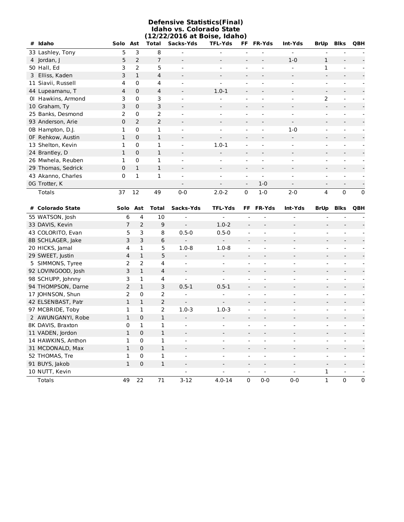|                    |    |                     |                |                          | <b>Defensive Statistics(Final)</b><br>Idaho vs. Colorado State<br>(12/22/2016 at Boise, Idaho) |                          |               |                              |                          |                          |          |
|--------------------|----|---------------------|----------------|--------------------------|------------------------------------------------------------------------------------------------|--------------------------|---------------|------------------------------|--------------------------|--------------------------|----------|
| Idaho<br>#         |    | Solo Ast            | Total          | Sacks-Yds                | <b>TFL-Yds</b>                                                                                 | FF.                      | <b>FR-Yds</b> | Int-Yds                      | <b>BrUp</b>              | <b>Blks</b>              | QBH      |
| 33 Lashley, Tony   |    | 5<br>3              | 8              | $\blacksquare$           | $\overline{a}$                                                                                 | $\overline{a}$           |               | $\overline{\phantom{a}}$     |                          |                          |          |
| 4 Jordan, J        |    | 2<br>5              | 7              | $\overline{\phantom{a}}$ |                                                                                                |                          |               | $1 - 0$                      | $\mathbf{1}$             |                          |          |
| 50 Hall, Ed        |    | $\overline{2}$<br>3 | 5              | $\blacksquare$           |                                                                                                | $\overline{\phantom{a}}$ |               | $\qquad \qquad \blacksquare$ | $\mathbf{1}$             |                          |          |
| 3 Elliss, Kaden    |    | 3<br>1              | 4              | $\overline{\phantom{a}}$ |                                                                                                | $\overline{\phantom{a}}$ |               | $\overline{\phantom{a}}$     |                          |                          |          |
| 11 Siavii, Russell |    | $\Omega$<br>4       | 4              | $\overline{\phantom{0}}$ |                                                                                                |                          |               | ۰                            |                          |                          |          |
| 44 Lupeamanu, T    |    | $\Omega$<br>4       | 4              | $\overline{\phantom{a}}$ | $1.0 - 1$                                                                                      | $\overline{\phantom{a}}$ |               | $\qquad \qquad \blacksquare$ | $\overline{\phantom{a}}$ |                          |          |
| 01 Hawkins, Armond |    | 3<br>0              | 3              | $\overline{\phantom{a}}$ |                                                                                                | ۰                        |               | -                            | 2                        |                          |          |
| 10 Graham, Ty      |    | 3<br>$\Omega$       | 3              | $\overline{\phantom{a}}$ |                                                                                                |                          |               |                              |                          |                          |          |
| 25 Banks, Desmond  |    | 2<br>$\Omega$       | $\overline{2}$ | $\blacksquare$           |                                                                                                |                          |               |                              |                          |                          |          |
| 93 Anderson, Arie  |    | 2<br>0              | 2              | $\overline{\phantom{a}}$ |                                                                                                |                          |               | $\overline{\phantom{a}}$     |                          |                          |          |
| 0B Hampton, D.J.   |    | $\Omega$<br>1       | 1              | $\blacksquare$           | $\overline{\phantom{0}}$                                                                       | ۰                        |               | $1-0$                        |                          |                          |          |
| OF Rehkow, Austin  |    | 1<br>$\Omega$       | 1              | $\overline{\phantom{a}}$ |                                                                                                |                          |               | $\overline{\phantom{a}}$     |                          |                          |          |
| 13 Shelton, Kevin  |    | 1<br>$\Omega$       | 1              | $\overline{\phantom{a}}$ | $1.0 - 1$                                                                                      | $\overline{\phantom{a}}$ |               | $\qquad \qquad \blacksquare$ |                          |                          |          |
| 24 Brantley, D     |    | 1<br>$\Omega$       | 1              | $\overline{\phantom{a}}$ |                                                                                                |                          |               | -                            |                          |                          |          |
| 26 Mwhela, Reuben  |    | $\Omega$<br>1       | 1              | $\blacksquare$           |                                                                                                |                          |               |                              |                          |                          |          |
| 29 Thomas, Sedrick |    | $\mathbf{1}$<br>0   | 1              | $\overline{\phantom{a}}$ |                                                                                                | $\overline{\phantom{a}}$ |               | $\overline{\phantom{a}}$     |                          |                          |          |
| 43 Akanno, Charles | 0  | 1                   | 1              | $\overline{\phantom{a}}$ |                                                                                                | -                        |               | -                            |                          |                          |          |
| 0G Trotter, K      |    |                     |                | $\overline{\phantom{a}}$ |                                                                                                | $\overline{\phantom{a}}$ | $1 - 0$       | $\overline{\phantom{a}}$     | $\overline{\phantom{a}}$ | $\overline{\phantom{a}}$ |          |
| <b>Totals</b>      | 37 | 12                  | 49             | $0 - 0$                  | $2.0 - 2$                                                                                      | $\Omega$                 | $1-0$         | $2 - 0$                      | 4                        | $\Omega$                 | $\Omega$ |

| # Colorado State   | Solo Ast       |              | <b>Total</b>   | Sacks-Yds                | <b>TFL-Yds</b>           |                          | FF FR-Yds                | Int-Yds                  | BrUp                         | <b>Blks</b>              | QBH      |
|--------------------|----------------|--------------|----------------|--------------------------|--------------------------|--------------------------|--------------------------|--------------------------|------------------------------|--------------------------|----------|
| 55 WATSON, Josh    | 6              | 4            | 10             | $\overline{\phantom{a}}$ | $\qquad \qquad -$        | $\overline{\phantom{0}}$ |                          |                          |                              |                          |          |
| 33 DAVIS, Kevin    | 7              | 2            | 9              | $\sim$                   | $1.0 - 2$                | $\overline{\phantom{a}}$ |                          | $\overline{\phantom{a}}$ | $\overline{\phantom{a}}$     |                          |          |
| 43 COLORITO, Evan  | 5              | 3            | 8              | $0.5 - 0$                | $0.5 - 0$                |                          |                          |                          |                              |                          |          |
| 8B SCHLAGER, Jake  | 3              | 3            | 6              |                          |                          |                          |                          |                          |                              |                          |          |
| 20 HICKS, Jamal    | 4              | 1            | 5              | $1.0 - 8$                | $1.0 - 8$                |                          |                          |                          |                              |                          |          |
| 29 SWEET, Justin   | 4              | $\mathbf{1}$ | 5              |                          |                          |                          |                          |                          |                              |                          |          |
| 5 SIMMONS, Tyree   | 2              | 2            | 4              | $\overline{\phantom{a}}$ |                          |                          |                          |                          |                              |                          |          |
| 92 LOVINGOOD, Josh | 3              | $\mathbf{1}$ | $\overline{4}$ | $\sim$                   |                          |                          |                          |                          |                              |                          |          |
| 98 SCHUPP, Johnny  | 3              | 1            | 4              |                          |                          |                          |                          | $\overline{\phantom{a}}$ |                              |                          |          |
| 94 THOMPSON, Darne | $\overline{2}$ | $\mathbf{1}$ | 3              | $0.5 - 1$                | $0.5 - 1$                |                          |                          |                          |                              |                          |          |
| 17 JOHNSON, Shun   | 2              | 0            | 2              |                          |                          |                          |                          |                          |                              |                          |          |
| 42 ELSENBAST, Patr | 1              | $\mathbf{1}$ | 2              | $\overline{\phantom{a}}$ | $\overline{\phantom{a}}$ |                          | $\overline{\phantom{a}}$ | $\overline{\phantom{a}}$ | $\qquad \qquad \blacksquare$ |                          |          |
| 97 MCBRIDE, Toby   |                |              | 2              | $1.0 - 3$                | $1.0 - 3$                |                          |                          |                          | ۰                            |                          |          |
| 2 AWUNGANYI, Robe  | 1              | 0            | $\mathbf{1}$   |                          |                          |                          |                          |                          |                              |                          |          |
| 8K DAVIS, Braxton  | 0              | 1            | 1              |                          |                          |                          |                          |                          |                              |                          |          |
| 11 VADEN, Jordon   | 1              | $\Omega$     | 1              |                          |                          |                          |                          |                          |                              |                          |          |
| 14 HAWKINS, Anthon | 1              | 0            | 1              |                          |                          |                          |                          |                          |                              |                          |          |
| 31 MCDONALD, Max   | 1              | 0            | 1              | $\overline{\phantom{a}}$ |                          |                          |                          |                          |                              |                          |          |
| 52 THOMAS, Tre     | 1              | 0            | 1              | $\blacksquare$           |                          |                          |                          |                          |                              |                          |          |
| 91 BUYS, Jakob     | 1              | 0            | 1              |                          |                          |                          |                          |                          |                              |                          |          |
| 10 NUTT, Kevin     |                |              |                |                          |                          | $\overline{\phantom{a}}$ | $\overline{\phantom{a}}$ |                          | 1                            | $\overline{\phantom{a}}$ |          |
| <b>Totals</b>      | 49             | 22           | 71             | $3 - 12$                 | $4.0 - 14$               | $\Omega$                 | $0 - 0$                  | $0 - 0$                  | $\mathbf{1}$                 | $\Omega$                 | $\Omega$ |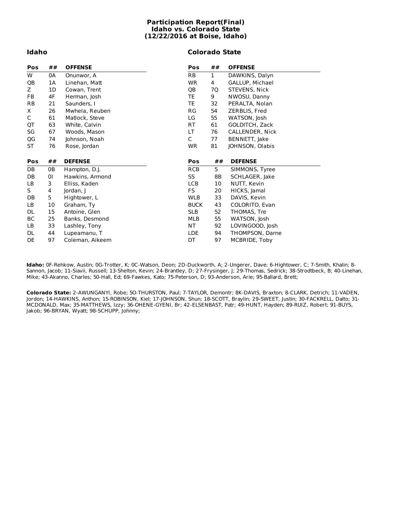#### **Participation Report(Final) Idaho vs. Colorado State (12/22/2016 at Boise, Idaho)**

#### **Idaho**

#### **Colorado State**

| Pos       | ## | <b>OFFENSE</b>  | Pos         | ## | <b>OFFENSE</b>  |
|-----------|----|-----------------|-------------|----|-----------------|
| W         | 0A | Onunwor, A      | RB          | 1  | DAWKINS, Dalyn  |
| QB        | 1A | Linehan, Matt   | <b>WR</b>   | 4  | GALLUP, Michael |
| Z.        | 1D | Cowan, Trent    | QB          | 7Q | STEVENS, Nick   |
| FB.       | 4F | Herman, Josh    | TE          | 9  | NWOSU, Danny    |
| <b>RB</b> | 21 | Saunders, I     | TE          | 32 | PERALTA, Nolan  |
| Χ         | 26 | Mwhela, Reuben  | RG          | 54 | ZERBLIS, Fred   |
| C         | 61 | Matlock, Steve  | LG          | 55 | WATSON, Josh    |
| QT        | 63 | White, Calvin   | RT          | 61 | GOLDITCH, Zack  |
| SG        | 67 | Woods, Mason    | LT          | 76 | CALLENDER, Nick |
| QG        | 74 | Johnson, Noah   | C           | 77 | BENNETT, Jake   |
| ST        | 76 | Rose, Jordan    | <b>WR</b>   | 81 | JOHNSON, Olabis |
|           |    |                 |             |    |                 |
|           |    |                 |             |    |                 |
| Pos       | ## | <b>DEFENSE</b>  | Pos         | ## | <b>DEFENSE</b>  |
| DB        | 0B | Hampton, D.J.   | <b>RCB</b>  | 5  | SIMMONS, Tyree  |
| DB        | 01 | Hawkins, Armond | SS          | 8Β | SCHLAGER, Jake  |
| LB.       | 3  | Elliss, Kaden   | <b>LCB</b>  | 10 | NUTT, Kevin     |
| S         | 4  | Jordan, J       | FS          | 20 | HICKS, Jamal    |
| DB        | 5  | Hightower, L    | <b>WLB</b>  | 33 | DAVIS, Kevin    |
| LB        | 10 | Graham, Ty      | <b>BUCK</b> | 43 | COLORITO, Evan  |
| DL        | 15 | Antoine, Glen   | <b>SLB</b>  | 52 | THOMAS, Tre     |
| ВC        | 25 | Banks, Desmond  | MLB         | 55 | WATSON, Josh    |
| LB        | 33 | Lashley, Tony   | NT.         | 92 | LOVINGOOD, Josh |
| DL        | 44 | Lupeamanu, T    | <b>LDE</b>  | 94 | THOMPSON, Darne |
| DE        | 97 | Coleman, Aikeem | DT          | 97 | MCBRIDE, Toby   |

**Idaho:** 0F-Rehkow, Austin; 0G-Trotter, K; 0C-Watson, Deon; 2D-Duckworth, A; 2-Ungerer, Dave; 6-Hightower, C; 7-Smith, Khalin; 8- Sannon, Jacob; 11-Siavii, Russell; 13-Shelton, Kevin; 24-Brantley, D; 27-Frysinger, J; 29-Thomas, Sedrick; 38-Strodtbeck, B; 40-Linehan, Mike; 43-Akanno, Charles; 50-Hall, Ed; 69-Fawkes, Kato; 75-Peterson, D; 93-Anderson, Arie; 95-Ballard, Brett;

**Colorado State:** 2-AWUNGANYI, Robe; 5O-THURSTON, Paul; 7-TAYLOR, Demontr; 8K-DAVIS, Braxton; 8-CLARK, Detrich; 11-VADEN, Jordon; 14-HAWKINS, Anthon; 15-ROBINSON, Kiel; 17-JOHNSON, Shun; 18-SCOTT, Braylin; 29-SWEET, Justin; 30-FACKRELL, Dalto; 31- MCDONALD, Max; 35-MATTHEWS, Izzy; 36-OHENE-GYENI, Br; 42-ELSENBAST, Patr; 49-HUNT, Hayden; 89-RUIZ, Robert; 91-BUYS, Jakob; 96-BRYAN, Wyatt; 98-SCHUPP, Johnny;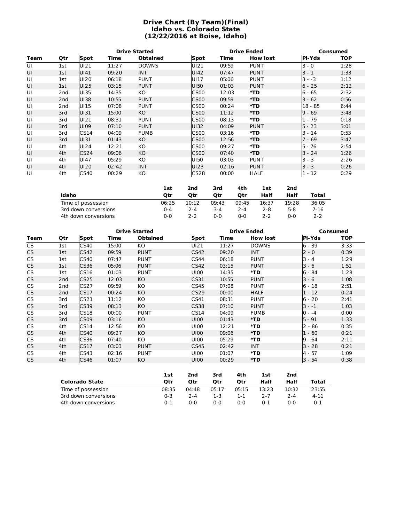#### **Drive Chart (By Team)(Final) Idaho vs. Colorado State (12/22/2016 at Boise, Idaho)**

|      |                 |                  |       | <b>Drive Started</b> |                  |       | <b>Drive Ended</b> |               | Consumed   |  |  |
|------|-----------------|------------------|-------|----------------------|------------------|-------|--------------------|---------------|------------|--|--|
| Team | Qtr             | Spot             | Time  | <b>Obtained</b>      | Spot             | Time  | <b>How lost</b>    | <b>PI-Yds</b> | <b>TOP</b> |  |  |
| UI   | 1st             | UI21             | 11:27 | <b>DOWNS</b>         | UI21             | 09:59 | <b>PUNT</b>        | $3 - 0$       | 1:28       |  |  |
| UI   | 1st             | UI41             | 09:20 | <b>INT</b>           | UI42             | 07:47 | <b>PUNT</b>        | $3 - 1$       | 1:33       |  |  |
| UI   | 1st             | U <sub>120</sub> | 06:18 | <b>PUNT</b>          | UI17             | 05:06 | <b>PUNT</b>        | $3 - -3$      | 1:12       |  |  |
| UI   | 1st             | UI25             | 03:15 | <b>PUNT</b>          | UI50             | 01:03 | <b>PUNT</b>        | $6 - 25$      | 2:12       |  |  |
| UI   | 2 <sub>nd</sub> | UI35             | 14:35 | КO                   | CS <sub>00</sub> | 12:03 | *TD                | 6 - 65        | 2:32       |  |  |
| UI   | 2 <sub>nd</sub> | <b>UI38</b>      | 10:55 | <b>PUNT</b>          | <b>CS00</b>      | 09:59 | *TD                | $3 - 62$      | 0:56       |  |  |
| UI   | 2nd             | UI15             | 07:08 | <b>PUNT</b>          | CS <sub>00</sub> | 00:24 | *TD                | $18 - 85$     | 6:44       |  |  |
| UI   | 3rd             | UI31             | 15:00 | KO.                  | <b>CS00</b>      | 11:12 | *TD                | $9 - 69$      | 3:48       |  |  |
| UI   | 3rd             | UI21             | 08:31 | <b>PUNT</b>          | <b>CS00</b>      | 08:13 | *TD                | $1 - 79$      | 0:18       |  |  |
| UI   | 3rd             | U <sub>109</sub> | 07:10 | <b>PUNT</b>          | UI32             | 04:09 | <b>PUNT</b>        | $5 - 23$      | 3:01       |  |  |
| UI   | 3rd             | CS14             | 04:09 | <b>FUMB</b>          | CS <sub>00</sub> | 03:16 | *TD                | $3 - 14$      | 0:53       |  |  |
| UI   | 3rd             | UI31             | 01:43 | KO.                  | <b>CS00</b>      | 12:56 | *TD                | $-69$         | 3:47       |  |  |
| UI   | 4th             | U <sub>124</sub> | 12:21 | КO                   | CS <sub>00</sub> | 09:27 | *TD                | 5 - 76        | 2:54       |  |  |
| UI   | 4th             | CS <sub>24</sub> | 09:06 | KO                   | <b>CS00</b>      | 07:40 | *TD                | $3 - 24$      | 1:26       |  |  |
| UI   | 4th             | UI47             | 05:29 | КO                   | UI50             | 03:03 | <b>PUNT</b>        | $3 - 3$       | 2:26       |  |  |
| UI   | 4th             | UI20             | 02:42 | <b>INT</b>           | UI23             | 02:16 | <b>PUNT</b>        | $3 - 3$       | 0:26       |  |  |
| UI   | 4th             | <b>CS40</b>      | 00:29 | KO                   | CS <sub>28</sub> | 00:00 | <b>HALF</b>        | $1 - 12$      | 0:29       |  |  |

|                      | 1st     | 2nd   | 3rd   | 4th     | 1st   | 2nd   |       |
|----------------------|---------|-------|-------|---------|-------|-------|-------|
| Idaho                | Otr     | Otr   | Otr   | Otr     | Half  | Half  | Total |
| Time of possession   | 06:25   | 10:12 | 09:43 | 09:45   | 16:37 | 19:28 | 36:05 |
| 3rd down conversions | $0 - 4$ | 2-4   | 3-4   | $2 - 4$ | 2-8   | 5-8   | 7-16  |
| 4th down conversions | ი-ი     | 2-2   | 0-0   | 0-0     | 2-2   | ი-ი   | 2-2   |

|           |     |             |       | <b>Drive Started</b> |             | <b>Drive Ended</b> |                 | <b>Consumed</b> |            |  |
|-----------|-----|-------------|-------|----------------------|-------------|--------------------|-----------------|-----------------|------------|--|
| Team      | Qtr | <b>Spot</b> | Time  | <b>Obtained</b>      | Spot        | Time               | <b>How lost</b> | <b>PI-Yds</b>   | <b>TOP</b> |  |
| <b>CS</b> | 1st | CS40        | 15:00 | KO.                  | UI21        | 11:27              | <b>DOWNS</b>    | $6 - 39$        | 3:33       |  |
| CS        | 1st | CS42        | 09:59 | <b>PUNT</b>          | CS42        | 09:20              | <b>INT</b>      | $2 - 0$         | 0:39       |  |
| CS.       | 1st | CS40        | 07:47 | <b>PUNT</b>          | CS44        | 06:18              | <b>PUNT</b>     | $3 - 4$         | 1:29       |  |
| CS.       | 1st | <b>CS36</b> | 05:06 | <b>PUNT</b>          | CS42        | 03:15              | <b>PUNT</b>     | $3 - 6$         | 1:51       |  |
| CS        | 1st | CS16        | 01:03 | <b>PUNT</b>          | U100        | 14:35              | *TD             | 6 - 84          | 1:28       |  |
| <b>CS</b> | 2nd | <b>CS25</b> | 12:03 | KO.                  | CS31        | 10:55              | <b>PUNT</b>     | $3 - 6$         | 1:08       |  |
| CS        | 2nd | CS27        | 09:59 | KO                   | CS45        | 07:08              | <b>PUNT</b>     | 6 - 18          | 2:51       |  |
| CS        | 2nd | CS17        | 00:24 | KO                   | <b>CS29</b> | 00:00              | <b>HALF</b>     | $1 - 12$        | 0:24       |  |
| CS.       | 3rd | CS21        | 11:12 | KO                   | CS41        | 08:31              | <b>PUNT</b>     | 6 - 20          | 2:41       |  |
| <b>CS</b> | 3rd | <b>CS39</b> | 08:13 | KO.                  | <b>CS38</b> | 07:10              | <b>PUNT</b>     | $3 - -1$        | 1:03       |  |
| CS        | 3rd | CS18        | 00:00 | <b>PUNT</b>          | CS14        | 04:09              | <b>FUMB</b>     | $0 - -4$        | 0:00       |  |
| <b>CS</b> | 3rd | <b>CS09</b> | 03:16 | KO                   | U100        | 01:43              | *TD             | $5 - 91$        | 1:33       |  |
| CS.       | 4th | CS14        | 12:56 | KO                   | U100        | 12:21              | *TD             | $2 - 86$        | 0:35       |  |
| CS.       | 4th | <b>CS40</b> | 09:27 | KO                   | U100        | 09:06              | $*TD$           | $-60$<br>1      | 0:21       |  |
| CS        | 4th | CS36        | 07:40 | KO.                  | U100        | 05:29              | *TD             | 9 - 64          | 2:11       |  |
| <b>CS</b> | 4th | CS17        | 03:03 | <b>PUNT</b>          | CS45        | 02:42              | <b>INT</b>      | $3 - 28$        | 0:21       |  |
| <b>CS</b> | 4th | CS43        | 02:16 | <b>PUNT</b>          | U100        | 01:07              | *TD             | 4 - 57          | 1:09       |  |
| CS.       | 4th | CS46        | 01:07 | KO                   | U100        | 00:29              | *TD             | 3 - 54          | 0:38       |  |
|           |     |             |       |                      |             |                    |                 |                 |            |  |

|                       | <b>1st</b> | 2nd     | 3rd   | 4th   | 1st     | 2nd   |          |
|-----------------------|------------|---------|-------|-------|---------|-------|----------|
| <b>Colorado State</b> | Otr        | Otr     | Otr   | Otr   | Half    | Half  | Total    |
| Time of possession    | 08:35      | 04:48   | 05:17 | 05:15 | 13:23   | 10:32 | 23:55    |
| 3rd down conversions  | 0-3        | $7 - 4$ | 1-3   | 1-1   | 2-7     | 2-4   | $4 - 11$ |
| 4th down conversions  | ი-1        | $0 - 0$ | 0-0   | 0-0   | $0 - 1$ | በ-በ   | $0 - 1$  |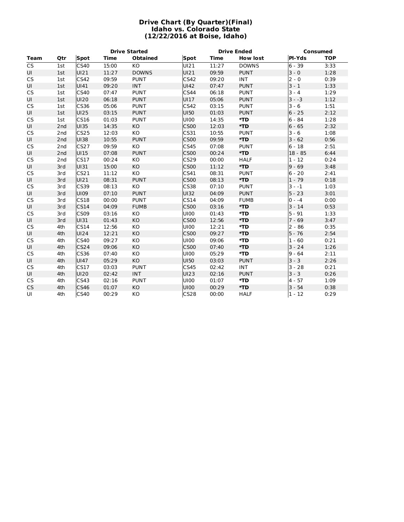#### **Drive Chart (By Quarter)(Final) Idaho vs. Colorado State (12/22/2016 at Boise, Idaho)**

|                        |                 |                  |       | <b>Drive Started</b> |             | <b>Drive Ended</b> |                 | <b>Consumed</b> |            |  |
|------------------------|-----------------|------------------|-------|----------------------|-------------|--------------------|-----------------|-----------------|------------|--|
| <b>Team</b>            | Qtr             | <b>Spot</b>      | Time  | <b>Obtained</b>      | <b>Spot</b> | <b>Time</b>        | <b>How lost</b> | PI-Yds          | <b>TOP</b> |  |
| $\overline{\text{CS}}$ | 1st             | CS40             | 15:00 | <b>KO</b>            | UI21        | 11:27              | <b>DOWNS</b>    | $6 - 39$        | 3:33       |  |
| UI                     | 1st             | UI21             | 11:27 | <b>DOWNS</b>         | UI21        | 09:59              | <b>PUNT</b>     | $3 - 0$         | 1:28       |  |
| <b>CS</b>              | 1st             | CS42             | 09:59 | <b>PUNT</b>          | CS42        | 09:20              | <b>INT</b>      | $2 - 0$         | 0:39       |  |
| UI                     | 1st             | UI41             | 09:20 | <b>INT</b>           | UI42        | 07:47              | <b>PUNT</b>     | $3 - 1$         | 1:33       |  |
| <b>CS</b>              | 1st             | CS40             | 07:47 | <b>PUNT</b>          | CS44        | 06:18              | <b>PUNT</b>     | $3 - 4$         | 1:29       |  |
| UI                     | 1st             | UI20             | 06:18 | <b>PUNT</b>          | UI17        | 05:06              | <b>PUNT</b>     | $3 - -3$        | 1:12       |  |
| <b>CS</b>              | 1st             | CS36             | 05:06 | <b>PUNT</b>          | CS42        | 03:15              | <b>PUNT</b>     | $3 - 6$         | 1:51       |  |
| UI                     | 1st             | UI25             | 03:15 | <b>PUNT</b>          | UI50        | 01:03              | <b>PUNT</b>     | $6 - 25$        | 2:12       |  |
| <b>CS</b>              | 1st             | CS16             | 01:03 | <b>PUNT</b>          | UI00        | 14:35              | *TD             | 6 - 84          | 1:28       |  |
| UI                     | 2 <sub>nd</sub> | UI35             | 14:35 | KO                   | <b>CS00</b> | 12:03              | *TD             | $6 - 65$        | 2:32       |  |
| CS                     | 2 <sub>nd</sub> | <b>CS25</b>      | 12:03 | KO                   | CS31        | 10:55              | <b>PUNT</b>     | $3 - 6$         | 1:08       |  |
| UI                     | 2 <sub>nd</sub> | UI38             | 10:55 | <b>PUNT</b>          | <b>CS00</b> | 09:59              | *TD             | $3 - 62$        | 0:56       |  |
| <b>CS</b>              | 2 <sub>nd</sub> | CS27             | 09:59 | KO                   | <b>CS45</b> | 07:08              | <b>PUNT</b>     | $6 - 18$        | 2:51       |  |
| UI                     | 2 <sub>nd</sub> | UI15             | 07:08 | <b>PUNT</b>          | <b>CS00</b> | 00:24              | *TD             | $18 - 85$       | 6:44       |  |
| <b>CS</b>              | 2 <sub>nd</sub> | CS17             | 00:24 | KO                   | CS29        | 00:00              | <b>HALF</b>     | $1 - 12$        | 0:24       |  |
| UI                     | 3rd             | UI31             | 15:00 | KO                   | <b>CS00</b> | 11:12              | *TD             | $9 - 69$        | 3:48       |  |
| <b>CS</b>              | 3rd             | C <sub>S21</sub> | 11:12 | KO                   | CS41        | 08:31              | <b>PUNT</b>     | $6 - 20$        | 2:41       |  |
| UI                     | 3rd             | UI21             | 08:31 | <b>PUNT</b>          | <b>CS00</b> | 08:13              | *TD             | $1 - 79$        | 0:18       |  |
| <b>CS</b>              | 3rd             | CS39             | 08:13 | KO                   | <b>CS38</b> | 07:10              | <b>PUNT</b>     | $3 - -1$        | 1:03       |  |
| UI                     | 3rd             | UI09             | 07:10 | <b>PUNT</b>          | UI32        | 04:09              | <b>PUNT</b>     | $5 - 23$        | 3:01       |  |
| <b>CS</b>              | 3rd             | <b>CS18</b>      | 00:00 | <b>PUNT</b>          | CS14        | 04:09              | <b>FUMB</b>     | $0 - -4$        | 0:00       |  |
| UI                     | 3rd             | <b>CS14</b>      | 04:09 | <b>FUMB</b>          | <b>CS00</b> | 03:16              | *TD             | $3 - 14$        | 0:53       |  |
| <b>CS</b>              | 3rd             | CS09             | 03:16 | KO                   | UI00        | 01:43              | *TD             | $5 - 91$        | 1:33       |  |
| UI                     | 3rd             | UI31             | 01:43 | KO                   | <b>CS00</b> | 12:56              | *TD             | $7 - 69$        | 3:47       |  |
| <b>CS</b>              | 4th             | CS14             | 12:56 | KO                   | UI00        | 12:21              | *TD             | $2 - 86$        | 0:35       |  |
| UI                     | 4th             | UI24             | 12:21 | KO                   | <b>CS00</b> | 09:27              | *TD             | $5 - 76$        | 2:54       |  |
| <b>CS</b>              | 4th             | CS40             | 09:27 | KO                   | UI00        | 09:06              | *TD             | $1 - 60$        | 0:21       |  |
| UI                     | 4th             | CS <sub>24</sub> | 09:06 | <b>KO</b>            | <b>CS00</b> | 07:40              | *TD             | $3 - 24$        | 1:26       |  |
| <b>CS</b>              | 4th             | CS36             | 07:40 | KO                   | U100        | 05:29              | *TD             | $9 - 64$        | 2:11       |  |
| UI                     | 4th             | UI47             | 05:29 | KO                   | UI50        | 03:03              | <b>PUNT</b>     | $3 - 3$         | 2:26       |  |
| <b>CS</b>              | 4th             | CS17             | 03:03 | <b>PUNT</b>          | CS45        | 02:42              | <b>INT</b>      | $3 - 28$        | 0:21       |  |
| UI                     | 4th             | UI20             | 02:42 | <b>INT</b>           | UI23        | 02:16              | <b>PUNT</b>     | $3 - 3$         | 0:26       |  |
| <b>CS</b>              | 4th             | CS43             | 02:16 | <b>PUNT</b>          | UI00        | 01:07              | *TD             | 4 - 57          | 1:09       |  |
| <b>CS</b>              | 4th             | CS46             | 01:07 | KO                   | U100        | 00:29              | *TD             | $3 - 54$        | 0:38       |  |
| UI                     | 4th             | CS40             | 00:29 | KO                   | CS28        | 00:00              | <b>HALF</b>     | $1 - 12$        | 0:29       |  |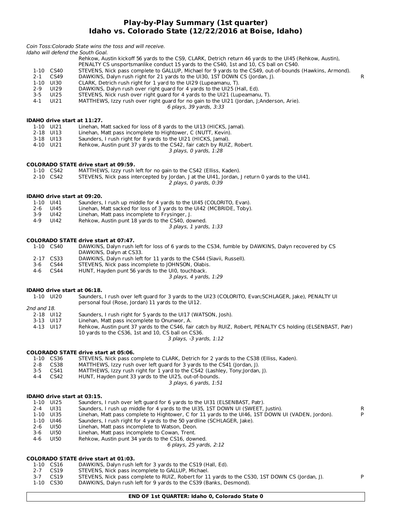#### **Play-by-Play Summary (1st quarter) Idaho vs. Colorado State (12/22/2016 at Boise, Idaho)**

|             |                        | Coin Toss: Colorado State wins the toss and will receive.                                                      |    |
|-------------|------------------------|----------------------------------------------------------------------------------------------------------------|----|
|             |                        | Idaho will defend the South Goal.                                                                              |    |
|             |                        | Rehkow, Austin kickoff 56 yards to the CS9, CLARK, Detrich return 46 yards to the UI45 (Rehkow, Austin),       |    |
|             |                        | PENALTY CS unsportsmanlike conduct 15 yards to the CS40, 1st and 10, CS ball on CS40.                          |    |
|             | 1-10 CS40              | STEVENS, Nick pass complete to GALLUP, Michael for 9 yards to the CS49, out-of-bounds (Hawkins, Armond).       |    |
| $2 - 1$     | CS49                   | DAWKINS, Dalyn rush right for 21 yards to the UI30, 1ST DOWN CS (Jordan, J).                                   | R  |
|             | 1-10 UI30              | CLARK, Detrich rush right for 1 yard to the UI29 (Lupeamanu, T).                                               |    |
| $2 - 9$     | UI29                   | DAWKINS, Dalyn rush over right guard for 4 yards to the UI25 (Hall, Ed).                                       |    |
| $3-5$       | UI25                   | STEVENS, Nick rush over right guard for 4 yards to the UI21 (Lupeamanu, T).                                    |    |
| 4-1         | UI21                   | MATTHEWS, Izzy rush over right guard for no gain to the UI21 (Jordan, J;Anderson, Arie).                       |    |
|             |                        | 6 plays, 39 yards, 3:33                                                                                        |    |
|             |                        |                                                                                                                |    |
|             |                        | IDAHO drive start at 11:27.                                                                                    |    |
|             | 1-10 UI21              | Linehan, Matt sacked for loss of 8 yards to the UI13 (HICKS, Jamal).                                           |    |
|             | 2-18 UI13              | Linehan, Matt pass incomplete to Hightower, C (NUTT, Kevin).                                                   |    |
|             | 3-18 UI13              | Saunders, I rush right for 8 yards to the UI21 (HICKS, Jamal).                                                 |    |
|             | 4-10 UI21              | Rehkow, Austin punt 37 yards to the CS42, fair catch by RUIZ, Robert.                                          |    |
|             |                        | 3 plays, 0 yards, 1:28                                                                                         |    |
|             |                        |                                                                                                                |    |
|             |                        | <b>COLORADO STATE drive start at 09:59.</b>                                                                    |    |
|             | 1-10 CS42              | MATTHEWS, Izzy rush left for no gain to the CS42 (Elliss, Kaden).                                              |    |
|             | 2-10 CS42              | STEVENS, Nick pass intercepted by Jordan, J at the UI41, Jordan, J return 0 yards to the UI41.                 |    |
|             |                        | 2 plays, 0 yards, 0:39                                                                                         |    |
|             |                        |                                                                                                                |    |
|             |                        | IDAHO drive start at 09:20.                                                                                    |    |
|             | 1-10 UI41              | Saunders, I rush up middle for 4 yards to the UI45 (COLORITO, Evan).                                           |    |
| $2 - 6$     | UI45                   | Linehan, Matt sacked for loss of 3 yards to the UI42 (MCBRIDE, Toby).                                          |    |
| $3-9$       | UI42                   | Linehan, Matt pass incomplete to Frysinger, J.                                                                 |    |
| $4 - 9$     | UI42                   | Rehkow, Austin punt 18 yards to the CS40, downed.                                                              |    |
|             |                        | 3 plays, 1 yards, 1:33                                                                                         |    |
|             |                        | <b>COLORADO STATE drive start at 07:47.</b>                                                                    |    |
|             | 1-10 CS40              | DAWKINS, Dalyn rush left for loss of 6 yards to the CS34, fumble by DAWKINS, Dalyn recovered by CS             |    |
|             |                        | DAWKINS, Dalyn at CS33.                                                                                        |    |
|             | 2-17 CS33              | DAWKINS, Dalyn rush left for 11 yards to the CS44 (Siavii, Russell).                                           |    |
| 3-6         | CS44                   | STEVENS, Nick pass incomplete to JOHNSON, Olabis.                                                              |    |
| 4-6         | CS44                   | HUNT, Hayden punt 56 yards to the UI0, touchback.                                                              |    |
|             |                        | 3 plays, 4 yards, 1:29                                                                                         |    |
|             |                        |                                                                                                                |    |
|             |                        | <b>IDAHO drive start at 06:18.</b>                                                                             |    |
|             | 1-10 UI20              | Saunders, I rush over left quard for 3 yards to the UI23 (COLORITO, Evan; SCHLAGER, Jake), PENALTY UI          |    |
|             |                        | personal foul (Rose, Jordan) 11 yards to the UI12.                                                             |    |
| 2nd and 18. |                        |                                                                                                                |    |
|             | 2-18 UI12<br>3-13 UI17 | Saunders, I rush right for 5 yards to the UI17 (WATSON, Josh).<br>Linehan, Matt pass incomplete to Onunwor, A. |    |
|             | 4-13 UI17              | Rehkow, Austin punt 37 yards to the CS46, fair catch by RUIZ, Robert, PENALTY CS holding (ELSENBAST, Patr)     |    |
|             |                        | 10 yards to the CS36, 1st and 10, CS ball on CS36.                                                             |    |
|             |                        | 3 plays, -3 yards, 1:12                                                                                        |    |
|             |                        |                                                                                                                |    |
|             |                        | <b>COLORADO STATE drive start at 05:06.</b>                                                                    |    |
|             | 1-10 CS36              | STEVENS, Nick pass complete to CLARK, Detrich for 2 yards to the CS38 (Elliss, Kaden).                         |    |
| $2 - 8$     | CS38                   | MATTHEWS, Izzy rush over left quard for 3 yards to the CS41 (Jordan, J).                                       |    |
| $3-5$       | CS41                   | MATTHEWS, Izzy rush right for 1 yard to the CS42 (Lashley, Tony; Jordan, J).                                   |    |
| $4 - 4$     | CS42                   | HUNT, Hayden punt 33 yards to the UI25, out-of-bounds.                                                         |    |
|             |                        | 3 plays, 6 yards, 1:51                                                                                         |    |
|             |                        |                                                                                                                |    |
|             |                        | IDAHO drive start at 03:15.                                                                                    |    |
|             | 1-10 UI25              | Saunders, I rush over left quard for 6 yards to the UI31 (ELSENBAST, Patr).                                    |    |
| $2 - 4$     | UI31                   | Saunders, I rush up middle for 4 yards to the UI35, 1ST DOWN UI (SWEET, Justin).                               | R. |
| $1 - 10$    | <b>UI35</b>            | Linehan, Matt pass complete to Hightower, C for 11 yards to the UI46, 1ST DOWN UI (VADEN, Jordon).             | P  |
| 1-10        | UI46                   | Saunders, I rush right for 4 yards to the 50 yardline (SCHLAGER, Jake).                                        |    |
| $2 - 6$     | UI50                   | Linehan, Matt pass incomplete to Watson, Deon.                                                                 |    |
| $3-6$       | UI50                   | Linehan, Matt pass incomplete to Cowan, Trent.                                                                 |    |
| 4-6         | UI50                   | Rehkow, Austin punt 34 yards to the CS16, downed.                                                              |    |
|             |                        | 6 plays, 25 yards, 2:12                                                                                        |    |
|             |                        | COLORADO STATE drive start at 01:03.                                                                           |    |
|             | 1-10 CS16              | DAWKINS, Dalyn rush left for 3 yards to the CS19 (Hall, Ed).                                                   |    |
| $2 - 7$     | CS19                   | STEVENS, Nick pass incomplete to GALLUP, Michael.                                                              |    |

- 3-7 CS19 STEVENS, Nick pass complete to RUIZ, Robert for 11 yards to the CS30, 1ST DOWN CS (Jordan, J). P<br>1-10 CS30 DAWKINS, Dalyn rush left for 9 yards to the CS39 (Banks, Desmond).
- DAWKINS, Dalyn rush left for 9 yards to the CS39 (Banks, Desmond).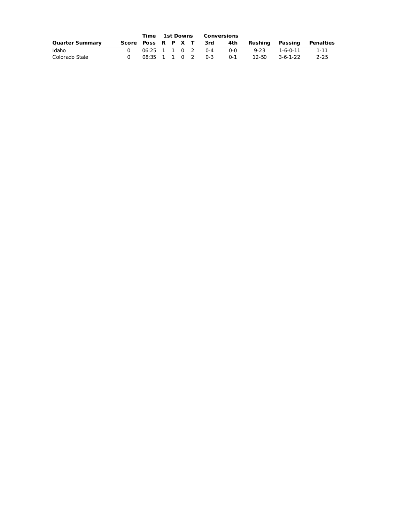|                        | Time 1st Downs |  |  | Conversions            |         |                 |          |           |
|------------------------|----------------|--|--|------------------------|---------|-----------------|----------|-----------|
| <b>Quarter Summary</b> |                |  |  | Score Poss R P X T 3rd | 4th     | Rushina Passina |          | Penalties |
| Idaho                  |                |  |  | 06:25 1 1 0 2 0-4      | $0 - 0$ | 9-23            | 1-6-0-11 | 1-11      |
| Colorado State         |                |  |  | 08:35 1 1 0 2 0-3      | $0 - 1$ | 12-50           | 3-6-1-22 | 2-25      |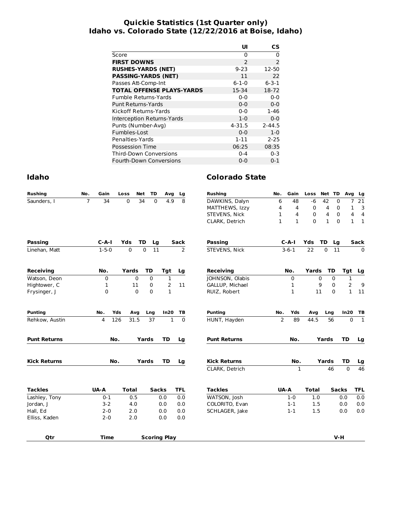#### **Quickie Statistics (1st Quarter only) Idaho vs. Colorado State (12/22/2016 at Boise, Idaho)**

|                                  | UI            | СS             |
|----------------------------------|---------------|----------------|
| Score                            | 0             | 0              |
| <b>FIRST DOWNS</b>               | $\mathcal{P}$ | $\overline{2}$ |
| <b>RUSHES-YARDS (NET)</b>        | $9 - 23$      | 12-50          |
| <b>PASSING-YARDS (NET)</b>       | 11            | 22             |
| Passes Att-Comp-Int              | $6 - 1 - 0$   | $6 - 3 - 1$    |
| <b>TOTAL OFFENSE PLAYS-YARDS</b> | 15-34         | 18-72          |
| <b>Fumble Returns-Yards</b>      | $0 - 0$       | $0 - 0$        |
| <b>Punt Returns-Yards</b>        | $0 - 0$       | $0 - 0$        |
| Kickoff Returns-Yards            | $0 - 0$       | $1 - 46$       |
| Interception Returns-Yards       | $1-0$         | $0 - 0$        |
| Punts (Number-Avg)               | 4-31.5        | $2 - 44.5$     |
| Fumbles-Lost                     | $0 - 0$       | $1-0$          |
| Penalties-Yards                  | $1 - 11$      | $2 - 25$       |
| Possession Time                  | 06:25         | 08:35          |
| <b>Third-Down Conversions</b>    | $0 - 4$       | $0 - 3$        |
| <b>Fourth-Down Conversions</b>   | $0 - 0$       | $0 - 1$        |

| <b>Rushing</b>      | No. | Gain        |     | Loss         | Net         | TD           | Avg                 | Lg             | <b>Rushing</b>      | No.            | Gain         | Loss         | Net TD       |              | Avg            | Lg              |
|---------------------|-----|-------------|-----|--------------|-------------|--------------|---------------------|----------------|---------------------|----------------|--------------|--------------|--------------|--------------|----------------|-----------------|
| Saunders, I         | 7   | 34          |     | 0            | 34          | 0            | 4.9                 | 8              | DAWKINS, Dalyn      | 6              | 48           | $-6$         | 42           | $\mathbf 0$  | $\overline{7}$ | 21              |
|                     |     |             |     |              |             |              |                     |                | MATTHEWS, Izzy      | 4              | 4            | 0            | 4            | 0            | 1              | 3               |
|                     |     |             |     |              |             |              |                     |                | STEVENS, Nick       | 1              | 4            | 0            | 4            | 0            | 4              | 4               |
|                     |     |             |     |              |             |              |                     |                | CLARK, Detrich      | $\mathbf{1}$   | $\mathbf{1}$ | $\Omega$     | $\mathbf{1}$ | $\mathbf 0$  | $\mathbf{1}$   | $\mathbf{1}$    |
| <b>Passing</b>      |     | $C-A-I$     |     | Yds          | <b>TD</b>   | Lg           |                     | <b>Sack</b>    | <b>Passing</b>      |                | $C-A-I$      | Yds          | TD           | Lg           |                | Sack            |
| Linehan, Matt       |     | $1 - 5 - 0$ |     | $\Omega$     | $\Omega$    | 11           |                     | $\overline{2}$ | STEVENS, Nick       |                | $3 - 6 - 1$  | 22           | $\Omega$     | 11           |                | $\mathbf 0$     |
| <b>Receiving</b>    |     | No.         |     | Yards        |             | <b>TD</b>    | Tgt                 | Lg             | <b>Receiving</b>    |                | No.          | Yards        |              | <b>TD</b>    | Tgt            | Lg              |
| Watson, Deon        |     | 0           |     |              | $\mathbf 0$ | $\Omega$     | $\mathbf{1}$        |                | JOHNSON, Olabis     |                | 0            |              | 0            | 0            | $\mathbf 1$    |                 |
| Hightower, C        |     | 1           |     | 11           |             | 0            | 2                   | 11             | GALLUP, Michael     |                | 1            |              | 9            | $\Omega$     | $\overline{2}$ | 9               |
| Frysinger, J        |     | 0           |     |              | $\Omega$    | $\Omega$     | $\mathbf{1}$        |                | RUIZ, Robert        |                | 1            |              | 11           | $\Omega$     | $\mathbf{1}$   | 11              |
| <b>Punting</b>      |     | No.         | Yds | Avg          |             | Lng          | In20                | ТB             | <b>Punting</b>      | No.            | Yds          | Avg          | Lng          |              | In20           | TB              |
| Rehkow, Austin      |     | 4           | 126 | 31.5         |             | 37           | $\mathbf{1}$        | $\Omega$       | HUNT, Hayden        | $\overline{2}$ | 89           | 44.5         |              | 56           | $\Omega$       | $\mathbf{1}$    |
| <b>Punt Returns</b> |     |             | No. |              | Yards       |              | <b>TD</b>           | Lg             | <b>Punt Returns</b> |                | No.          |              | Yards        |              | <b>TD</b>      | Lg              |
| <b>Kick Returns</b> |     |             | No. |              | Yards       |              | <b>TD</b>           | Lg             | <b>Kick Returns</b> |                | No.          |              | Yards        |              | TD             | Lg              |
|                     |     |             |     |              |             |              |                     |                | CLARK, Detrich      |                | 1            |              |              | 46           | $\Omega$       | $\overline{46}$ |
| <b>Tackles</b>      |     | UA-A        |     | <b>Total</b> |             | <b>Sacks</b> |                     | <b>TFL</b>     | <b>Tackles</b>      | <b>UA-A</b>    |              | <b>Total</b> |              | <b>Sacks</b> |                | <b>TFL</b>      |
| Lashley, Tony       |     | $0 - 1$     |     | 0.5          |             |              | 0.0                 | 0.0            | WATSON, Josh        |                | $1 - 0$      | 1.0          |              |              | 0.0            | 0.0             |
| Jordan, J           |     | $3 - 2$     |     | 4.0          |             |              | 0.0                 | 0.0            | COLORITO, Evan      |                | $1 - 1$      | 1.5          |              |              | 0.0            | 0.0             |
| Hall, Ed            |     | $2 - 0$     |     | 2.0          |             |              | 0.0                 | 0.0            | SCHLAGER, Jake      |                | $1 - 1$      | 1.5          |              |              | 0.0            | 0.0             |
| Elliss, Kaden       |     | $2 - 0$     |     | 2.0          |             |              | 0.0                 | 0.0            |                     |                |              |              |              |              |                |                 |
| <b>Qtr</b>          |     | <b>Time</b> |     |              |             |              | <b>Scoring Play</b> |                |                     |                |              |              |              | $V-H$        |                |                 |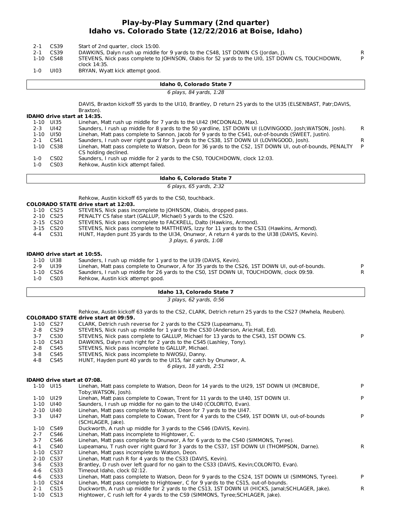#### **Play-by-Play Summary (2nd quarter) Idaho vs. Colorado State (12/22/2016 at Boise, Idaho)**

| $2 - 1$<br>$2 - 1$ | CS39<br>CS39<br>1-10 CS48 | Start of 2nd quarter, clock 15:00.<br>DAWKINS, Dalyn rush up middle for 9 yards to the CS48, 1ST DOWN CS (Jordan, J).<br>STEVENS, Nick pass complete to JOHNSON, Olabis for 52 yards to the UI0, 1ST DOWN CS, TOUCHDOWN,<br>clock 14:35. | R<br>P |
|--------------------|---------------------------|------------------------------------------------------------------------------------------------------------------------------------------------------------------------------------------------------------------------------------------|--------|
| 1-0                | UI03                      | BRYAN, Wyatt kick attempt good.                                                                                                                                                                                                          |        |
|                    |                           | Idaho 0, Colorado State 7                                                                                                                                                                                                                |        |
|                    |                           | 6 plays, 84 yards, 1:28                                                                                                                                                                                                                  |        |
|                    |                           | DAVIS, Braxton kickoff 55 yards to the UI10, Brantley, D return 25 yards to the UI35 (ELSENBAST, Patr;DAVIS,                                                                                                                             |        |

**IDAHO drive start at 14:35.** Braxton). Linehan, Matt rush up middle for 7 yards to the UI42 (MCDONALD, Max). 2-3 UI42 Saunders, I rush up middle for 8 yards to the 50 yardline, 1ST DOWN UI (LOVINGOOD, Josh;WATSON, Josh). R<br>1-10 UI50 Linehan, Matt pass complete to Sannon, Jacob for 9 yards to the CS41, out-of-bounds (SWEET, Justin Linehan, Matt pass complete to Sannon, Jacob for 9 yards to the CS41, out-of-bounds (SWEET, Justin). 2-1 CS41 Saunders, I rush over right guard for 3 yards to the CS38, 1ST DOWN UI (LOVINGOOD, Josh). R 1-10 CS38 Linehan, Matt pass complete to Watson, Deon for 36 yards to the CS2, 1ST DOWN UI, out-of-bounds, PENALTY CS holding declined. P 1-0 CS02 Saunders, I rush up middle for 2 yards to the CS0, TOUCHDOWN, clock 12:03.

1-0 CS03 Rehkow, Austin kick attempt failed.

#### **Idaho 6, Colorado State 7**

6 plays, 65 yards, 2:32

Rehkow, Austin kickoff 65 yards to the CS0, touchback.

|           | <b>COLORADO STATE drive start at 12:03.</b>                                                   |
|-----------|-----------------------------------------------------------------------------------------------|
| 1-10 CS25 | STEVENS, Nick pass incomplete to JOHNSON, Olabis, dropped pass.                               |
| 2-10 CS25 | PENALTY CS false start (GALLUP, Michael) 5 yards to the CS20.                                 |
| 2-15 CS20 | STEVENS, Nick pass incomplete to FACKRELL, Dalto (Hawkins, Armond).                           |
| 3-15 CS20 | STEVENS, Nick pass complete to MATTHEWS, Izzy for 11 yards to the CS31 (Hawkins, Armond).     |
| 4-4 CS31  | HUNT, Hayden punt 35 yards to the UI34, Onunwor, A return 4 yards to the UI38 (DAVIS, Kevin). |
|           | 3 plays, 6 yards, 1:08                                                                        |
|           |                                                                                               |

#### **IDAHO drive start at 10:55.**

| 1-10 UI38 | Saunders, I rush up middle for 1 yard to the UI39 (DAVIS, Kevin).                               |    |
|-----------|-------------------------------------------------------------------------------------------------|----|
| 2-9 UI39  | Linehan, Matt pass complete to Onunwor, A for 35 yards to the CS26, 1ST DOWN UI, out-of-bounds. | P. |
| 1-10 CS26 | Saunders, I rush up middle for 26 yards to the CSO, 1ST DOWN UI, TOUCHDOWN, clock 09:59.        |    |
| 1-0 CS03  | Rehkow, Austin kick attempt good.                                                               |    |

#### **Idaho 13, Colorado State 7**

3 plays, 62 yards, 0:56

Rehkow, Austin kickoff 63 yards to the CS2, CLARK, Detrich return 25 yards to the CS27 (Mwhela, Reuben).

#### **COLORADO STATE drive start at 09:59.**

|       | 1-10 CS27        | CLARK, Detrich rush reverse for 2 yards to the CS29 (Lupeamanu, T).                   |    |
|-------|------------------|---------------------------------------------------------------------------------------|----|
| 2-8   | CS <sub>29</sub> | STEVENS, Nick rush up middle for 1 yard to the CS30 (Anderson, Arie; Hall, Ed).       |    |
| $3-7$ | CS30             | STEVENS, Nick pass complete to GALLUP, Michael for 13 yards to the CS43, 1ST DOWN CS. | P. |
|       | 1-10 CS43        | DAWKINS, Dalyn rush right for 2 yards to the CS45 (Lashley, Tony).                    |    |
| 2-8   | CS45             | STEVENS, Nick pass incomplete to GALLUP, Michael.                                     |    |
| 3-8   | CS45             | STEVENS, Nick pass incomplete to NWOSU, Danny.                                        |    |
| 4-8   | CS45             | HUNT, Hayden punt 40 yards to the UI15, fair catch by Onunwor, A.                     |    |
|       |                  | 6 plays, 18 yards, 2:51                                                               |    |

#### **IDAHO drive start at 07:08.**

|          | 1-10 UI15        | Linehan, Matt pass complete to Watson, Deon for 14 yards to the UI29, 1ST DOWN UI (MCBRIDE,<br>Toby:WATSON, Josh).   | P  |
|----------|------------------|----------------------------------------------------------------------------------------------------------------------|----|
| 1-10     | UI29             | Linehan, Matt pass complete to Cowan, Trent for 11 yards to the UI40, 1ST DOWN UI.                                   |    |
| 1-10     | UI40             | Saunders, I rush up middle for no gain to the UI40 (COLORITO, Evan).                                                 |    |
| $2 - 10$ | UI 40            | Linehan, Matt pass complete to Watson, Deon for 7 yards to the UI47.                                                 |    |
| 3-3      | UI47             | Linehan, Matt pass complete to Cowan, Trent for 4 yards to the CS49, 1ST DOWN UI, out-of-bounds<br>(SCHLAGER, Jake). |    |
|          | 1-10 CS49        | Duckworth, A rush up middle for 3 yards to the CS46 (DAVIS, Kevin).                                                  |    |
| $2 - 7$  | CS46             | Linehan, Matt pass incomplete to Hightower, C.                                                                       |    |
| $3 - 7$  | CS46             | Linehan, Matt pass complete to Onunwor, A for 6 yards to the CS40 (SIMMONS, Tyree).                                  |    |
| 4-1      | CS40             | Lupeamanu, T rush over right quard for 3 yards to the CS37, 1ST DOWN UI (THOMPSON, Darne).                           | R. |
|          | 1-10 CS37        | Linehan, Matt pass incomplete to Watson, Deon.                                                                       |    |
|          | 2-10 CS37        | Linehan, Matt rush R for 4 yards to the CS33 (DAVIS, Kevin).                                                         |    |
| 3-6      | CS33             | Brantley, D rush over left quard for no gain to the CS33 (DAVIS, Kevin; COLORITO, Evan).                             |    |
| 4-6      | CS33             | Timeout Idaho, clock 02:12.                                                                                          |    |
| 4-6      | CS33             | Linehan, Matt pass complete to Watson, Deon for 9 yards to the CS24, 1ST DOWN UI (SIMMONS, Tyree).                   | P  |
| $1 - 10$ | CS <sub>24</sub> | Linehan, Matt pass complete to Hightower, C for 9 yards to the CS15, out-of-bounds.                                  |    |
| $2 - 1$  | CS <sub>15</sub> | Duckworth, A rush up middle for 2 yards to the CS13, 1ST DOWN UI (HICKS, Jamal; SCHLAGER, Jake).                     | R  |
|          | 1-10 CS13        | Hightower, C rush left for 4 yards to the CS9 (SIMMONS, Tyree; SCHLAGER, Jake).                                      |    |
|          |                  |                                                                                                                      |    |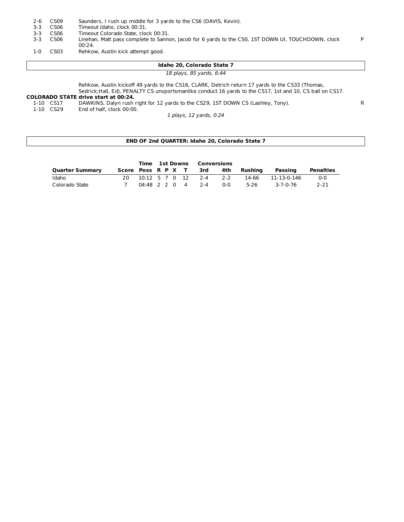| 2-6 | CS09 |  |  | Saunders, I rush up middle for 3 yards to the CS6 (DAVIS, Kevin). |  |  |  |  |  |
|-----|------|--|--|-------------------------------------------------------------------|--|--|--|--|--|
|-----|------|--|--|-------------------------------------------------------------------|--|--|--|--|--|

- 3-3 CS06 Timeout Idaho, clock 00:31.<br>3-3 CS06 Timeout Colorado State, cloc
- 
- 3-3 CS06 Timeout Colorado State, clock 00:31.<br>3-3 CS06 Linehan, Matt pass complete to Sanno Linehan, Matt pass complete to Sannon, Jacob for 6 yards to the CS0, 1ST DOWN UI, TOUCHDOWN, clock 00:24.
- 1-0 CS03 Rehkow, Austin kick attempt good.

| Idaho 20, Colorado State 7 |  |
|----------------------------|--|
| 18 plays, 85 yards, 6:44   |  |

P

Rehkow, Austin kickoff 49 yards to the CS16, CLARK, Detrich return 17 yards to the CS33 (Thomas, Sedrick;Hall, Ed), PENALTY CS unsportsmanlike conduct 16 yards to the CS17, 1st and 10, CS ball on CS17.

## **COLORADO STATE drive start at 00:24.**

1-10 CS17 DAWKINS, Dalyn rush right for 12 yards to the CS29, 1ST DOWN CS (Lashley, Tony). R<br>1-10 CS29 End of half, clock 00:00.

End of half, clock 00:00.

1 plays, 12 yards, 0:24

#### **END OF 2nd QUARTER: Idaho 20, Colorado State 7**

|                        |                        |  |  | <b>Time 1st Downs Conversions</b> |            |         |             |                  |
|------------------------|------------------------|--|--|-----------------------------------|------------|---------|-------------|------------------|
| <b>Quarter Summary</b> | Score Poss R P X T 3rd |  |  |                                   | 4th        | Rushina | Passing     | <b>Penalties</b> |
| Idaho                  | 20.                    |  |  | 10:12 5 7 0 12 2-4 2-2            |            | 14-66   | 11-13-0-146 | $0 - 0$          |
| Colorado State         |                        |  |  | $04:48$ 2 2 0 4 2 -4              | <u>ດ-ດ</u> | 5-26    | 3-7-0-76    | $2 - 21$         |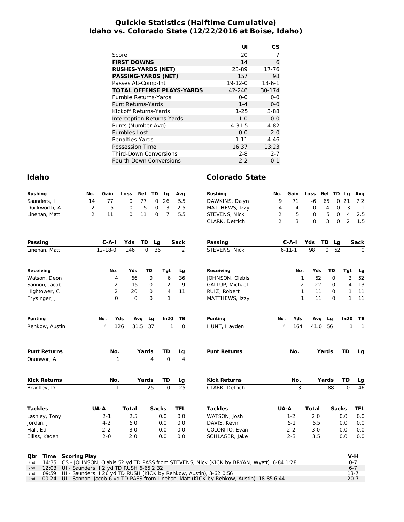#### **Quickie Statistics (Halftime Cumulative) Idaho vs. Colorado State (12/22/2016 at Boise, Idaho)**

|                                  | UI       | СS           |
|----------------------------------|----------|--------------|
| Score                            | 20       | 7            |
| <b>FIRST DOWNS</b>               | 14       | 6            |
| <b>RUSHES-YARDS (NET)</b>        | 23-89    | 17-76        |
| <b>PASSING-YARDS (NET)</b>       | 157      | 98           |
| Passes Att-Comp-Int              | 19-12-0  | $13 - 6 - 1$ |
| <b>TOTAL OFFENSE PLAYS-YARDS</b> | 42-246   | 30-174       |
| Fumble Returns-Yards             | $0 - 0$  | $0 - 0$      |
| Punt Returns-Yards               | $1 - 4$  | $0 - 0$      |
| Kickoff Returns-Yards            | $1-25$   | $3 - 88$     |
| Interception Returns-Yards       | $1-0$    | $0 - 0$      |
| Punts (Number-Avg)               | 4-31.5   | 4-82         |
| Fumbles-Lost                     | $0 - 0$  | $2 - 0$      |
| Penalties-Yards                  | $1 - 11$ | $4 - 46$     |
| Possession Time                  | 16:37    | 13:23        |
| <b>Third-Down Conversions</b>    | $2 - 8$  | $2 - 7$      |
| Fourth-Down Conversions          | $2 - 2$  | $0 - 1$      |

| Idaho               |                |                |              |          |                 |                |                 | <b>Colorado State</b> |                |              |                    |                 |                            |                              |
|---------------------|----------------|----------------|--------------|----------|-----------------|----------------|-----------------|-----------------------|----------------|--------------|--------------------|-----------------|----------------------------|------------------------------|
| <b>Rushing</b>      | No.            | Gain           | Loss         | Net TD   |                 | Lg             | Avg             | <b>Rushing</b>        | No.            | Gain         | Loss               |                 | Net TD Lg                  | Avg                          |
| Saunders, I         | 14             | 77             | 0            | 77       | $\mathbf 0$     | 26             | 5.5             | DAWKINS, Dalyn        | 9              | 71           | $-6$               | 65              | 21<br>$\mathbf 0$          | 7.2                          |
| Duckworth, A        | $\overline{2}$ | 5              | 0            | 5        | 0               | 3              | 2.5             | MATTHEWS, Izzy        | 4              | 4            | 0                  | 4               | 3<br>0                     | 1                            |
| Linehan, Matt       | $\overline{2}$ | 11             | 0            | 11       | $\Omega$        | $\overline{7}$ | 5.5             | STEVENS, Nick         | 2              | 5            | 0                  | 5               | 4<br>$\mathbf 0$           | 2.5                          |
|                     |                |                |              |          |                 |                |                 | CLARK, Detrich        | $\overline{2}$ | 3            | 0                  | 3               | $\overline{2}$<br>$\Omega$ | 1.5                          |
| <b>Passing</b>      |                | $C - A - I$    | Yds          | TD       | Lg              |                | Sack            | <b>Passing</b>        |                | $C - A - I$  | Yds                | TD              | Lg                         | Sack                         |
| Linehan, Matt       |                | $12 - 18 - 0$  | 146          | $\Omega$ | 36              |                | 2               | STEVENS, Nick         |                | $6 - 11 - 1$ | 98                 | $\Omega$        | 52                         | $\mathbf 0$                  |
| <b>Receiving</b>    |                | No.            | Yds          |          | TD              | Tgt            | Lg              | Receiving             |                | No.          | Yds                | TD              | Tgt                        | Lg                           |
| Watson, Deon        |                | 4              | 66           |          | $\Omega$        | 6              | 36              | JOHNSON, Olabis       |                |              | $\mathbf{1}$<br>52 |                 | 3<br>$\Omega$              | 52                           |
| Sannon, Jacob       |                | 2              | 15           |          | 0               | 2              | 9               | GALLUP, Michael       |                |              | 2<br>22            |                 | 0<br>4                     | 13                           |
| Hightower, C        |                | 2              | 20           |          | 0               | 4              | 11              | RUIZ, Robert          |                |              | 1<br>11            |                 | 0<br>1                     | 11                           |
| Frysinger, J        |                | $\mathbf 0$    | $\mathbf 0$  |          | $\Omega$        | $\mathbf{1}$   |                 | MATTHEWS, Izzy        |                |              | $\mathbf{1}$<br>11 |                 | $\mathbf{1}$<br>$\Omega$   | 11                           |
| <b>Punting</b>      |                | No.            | Yds          | Avg      | Lg              | In20           | ΤВ              | <b>Punting</b>        | No.            | Yds          | Avg                | Lg              | In20                       | ТB                           |
| Rehkow, Austin      |                | $\overline{4}$ | 126          | 31.5     | $\overline{37}$ | 1              | $\mathbf 0$     | HUNT, Hayden          | 4              | 164          | 41.0               | $\overline{56}$ |                            | $\mathbf{1}$<br>$\mathbf{1}$ |
| <b>Punt Returns</b> |                | No.            |              | Yards    |                 | TD             | Lg              | <b>Punt Returns</b>   |                | No.          |                    | Yards           | TD                         | Lg                           |
| Onunwor, A          |                | $\mathbf{1}$   |              |          | 4               | $\Omega$       | 4               |                       |                |              |                    |                 |                            |                              |
| <b>Kick Returns</b> |                | No.            |              | Yards    |                 | TD             | Lg              | <b>Kick Returns</b>   |                | No.          |                    | Yards           | <b>TD</b>                  | Lg                           |
| Brantley, D         |                | 1              |              |          | 25              | $\Omega$       | $\overline{25}$ | CLARK, Detrich        |                | 3            |                    | 88              | $\Omega$                   | 46                           |
| <b>Tackles</b>      |                | UA-A           | <b>Total</b> |          | Sacks           |                | TFL             | <b>Tackles</b>        | UA-A           |              | <b>Total</b>       |                 | <b>Sacks</b>               | <b>TFL</b>                   |
|                     |                | $2 - 1$        | 2.5          |          |                 | 0.0            | 0.0             | WATSON, Josh          |                | $1-2$        | 2.0                |                 | 0.0                        | 0.0                          |
| Lashley, Tony       |                |                |              |          |                 |                |                 |                       |                |              |                    |                 |                            |                              |
| Jordan, J           |                | $4 - 2$        | 5.0          |          |                 | 0.0            | 0.0             | DAVIS, Kevin          |                | $5-1$        | 5.5                |                 | 0.0                        | 0.0                          |
| Hall, Ed            |                | $2 - 2$        | 3.0          |          |                 | 0.0            | 0.0             | COLORITO, Evan        |                | $2 - 2$      | 3.0                |                 | 0.0                        | 0.0                          |

|  | <b>VG THIS SCOTTING INT</b>                                                                       | ----     |
|--|---------------------------------------------------------------------------------------------------|----------|
|  | 2nd 14:35 CS - JOHNSON, Olabis 52 yd TD PASS from STEVENS, Nick (KICK by BRYAN, Wyatt), 6-84 1:28 | $0 - 7$  |
|  | 2nd 12:03 UI - Saunders, I 2 yd TD RUSH 6-65 2:32                                                 | $6 - 7$  |
|  | 2nd 09:59 UI - Saunders, I 26 yd TD RUSH (KICK by Rehkow, Austin), 3-62 0:56                      | 13-7     |
|  | 2nd 00:24 UI - Sannon, Jacob 6 yd TD PASS from Linehan, Matt (KICK by Rehkow, Austin), 18-85 6:44 | $20 - 7$ |
|  |                                                                                                   |          |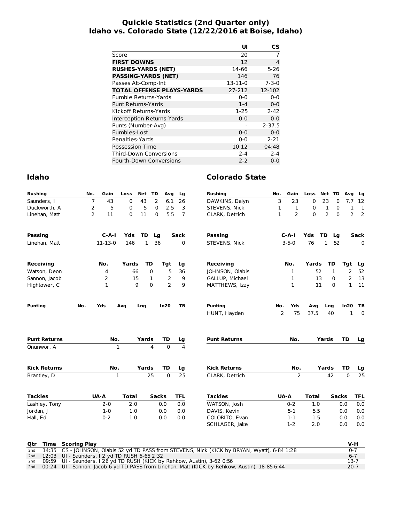#### **Quickie Statistics (2nd Quarter only) Idaho vs. Colorado State (12/22/2016 at Boise, Idaho)**

|                                  | UI            | СS          |
|----------------------------------|---------------|-------------|
| Score                            | 20            | 7           |
| <b>FIRST DOWNS</b>               | 12            | 4           |
| <b>RUSHES-YARDS (NET)</b>        | 14-66         | $5 - 26$    |
| <b>PASSING-YARDS (NET)</b>       | 146           | 76          |
| Passes Att-Comp-Int              | $13 - 11 - 0$ | $7 - 3 - 0$ |
| <b>TOTAL OFFENSE PLAYS-YARDS</b> | 27-212        | 12-102      |
| <b>Fumble Returns-Yards</b>      | $0 - 0$       | $0 - 0$     |
| Punt Returns-Yards               | $1 - 4$       | $0 - 0$     |
| Kickoff Returns-Yards            | $1-25$        | $2 - 42$    |
| Interception Returns-Yards       | $0 - 0$       | $0 - 0$     |
| Punts (Number-Avg)               |               | $2 - 37.5$  |
| Fumbles-Lost                     | $0 - 0$       | $0 - 0$     |
| Penalties-Yards                  | ი-ი           | $2 - 21$    |
| <b>Possession Time</b>           | 10:12         | 04:48       |
| <b>Third-Down Conversions</b>    | $2 - 4$       | $2 - 4$     |
| <b>Fourth-Down Conversions</b>   | $2 - 2$       | $0 - 0$     |

| <b>Rushing</b>      | No.            | Gain          | Loss         | Net TD       |                | Avg            | Lg              | <b>Rushing</b>      | No.            | Gain           | Loss Net TD     |                |              | Avg            | Lg              |
|---------------------|----------------|---------------|--------------|--------------|----------------|----------------|-----------------|---------------------|----------------|----------------|-----------------|----------------|--------------|----------------|-----------------|
| Saunders, I         | $\overline{7}$ | 43            | $\mathbf 0$  | 43           | $\overline{2}$ | 6.1            | 26              | DAWKINS, Dalyn      | 3              | 23             | $\mathbf 0$     | 23             | 0            | 7.7            | 12              |
| Duckworth, A        | $\overline{2}$ | 5             | 0            | 5            | 0              | 2.5            | 3               | STEVENS, Nick       | 1              | 1              | 0               | $\mathbf 1$    | 0            | 1              | 1               |
| Linehan, Matt       | $\overline{2}$ | 11            | 0            | 11           | $\Omega$       | 5.5            | $\overline{7}$  | CLARK, Detrich      | $\mathbf{1}$   | $\overline{2}$ | $\mathbf{0}$    | $\overline{2}$ | $\mathbf{0}$ | $\overline{2}$ | $\overline{2}$  |
| <b>Passing</b>      |                | $C - A - I$   | <b>Yds</b>   | TD           | Lg             |                | <b>Sack</b>     | <b>Passing</b>      |                | $C-A-I$        | Yds             | TD             | Lg           |                | Sack            |
| Linehan, Matt       |                | $11 - 13 - 0$ | 146          | $\mathbf{1}$ | 36             |                | 0               | STEVENS, Nick       |                | $3 - 5 - 0$    | $\overline{76}$ | $\mathbf{1}$   | 52           |                | $\Omega$        |
| Receiving           |                | No.           | Yards        | <b>TD</b>    |                | Tgt            | Lg              | <b>Receiving</b>    |                | No.            | Yards           |                | TD           | Tgt            | Lg              |
| Watson, Deon        |                | 4             |              | 66           | 0              | 5              | $\overline{36}$ | JOHNSON, Olabis     |                | 1              |                 | 52             | $\mathbf{1}$ | 2              | 52              |
| Sannon, Jacob       |                | 2             |              | 15           | 1              | $\mathbf{2}$   | 9               | GALLUP, Michael     |                | 1              |                 | 13             | 0            | 2              | 13              |
| Hightower, C        |                | $\mathbf{1}$  |              | 9            | $\Omega$       | $\overline{2}$ | 9               | MATTHEWS, Izzy      |                | 1              |                 | 11             | $\Omega$     | $\mathbf{1}$   | 11              |
| <b>Punting</b>      | No.            | Yds           | Avg          | Lng          |                | In20           | TB              | <b>Punting</b>      | No.            | Yds            | Avq             | Lng            |              | In20           | ΤВ              |
|                     |                |               |              |              |                |                |                 | HUNT, Hayden        | $\overline{2}$ | 75             | 37.5            | 40             |              | $\mathbf{1}$   | $\mathbf{0}$    |
| <b>Punt Returns</b> |                | No.           |              | Yards        |                | TD             | Lg              | <b>Punt Returns</b> |                | No.            |                 | Yards          |              | TD             | Lg              |
| Onunwor, A          |                |               | $\mathbf{1}$ |              | $\overline{a}$ | $\overline{0}$ | $\overline{4}$  |                     |                |                |                 |                |              |                |                 |
| <b>Kick Returns</b> |                | No.           |              | Yards        |                | <b>TD</b>      | Lg              | <b>Kick Returns</b> |                | No.            |                 | Yards          |              | <b>TD</b>      | Lg              |
| Brantley, D         |                |               | $\mathbf{1}$ |              | 25             | $\Omega$       | $\overline{25}$ | CLARK, Detrich      |                | 2              |                 | 42             |              | $\Omega$       | $\overline{25}$ |
|                     |                |               |              |              |                |                |                 |                     |                |                |                 |                |              |                |                 |
| <b>Tackles</b>      |                | UA-A          | <b>Total</b> |              | <b>Sacks</b>   |                | <b>TFL</b>      | <b>Tackles</b>      |                | UA-A           | <b>Total</b>    |                | <b>Sacks</b> |                | <b>TFL</b>      |
| Lashley, Tony       |                | $2 - 0$       | 2.0          |              |                | 0.0            | 0.0             | WATSON, Josh        |                | $0 - 2$        | 1.0             |                |              | 0.0            | 0.0             |
| Jordan, J           |                | $1 - 0$       | 1.0          |              |                | 0.0            | 0.0             | DAVIS, Kevin        |                | $5 - 1$        | 5.5             |                |              | 0.0            | 0.0             |
| Hall, Ed            |                | $0 - 2$       | 1.0          |              |                | 0.0            | 0.0             | COLORITO, Evan      |                | $1 - 1$        | 1.5             |                |              | 0.0            | 0.0             |

|  | Otr Time Scoring Play                                                                             | V-H      |
|--|---------------------------------------------------------------------------------------------------|----------|
|  | 2nd 14:35 CS - JOHNSON, Olabis 52 yd TD PASS from STEVENS, Nick (KICK by BRYAN, Wyatt), 6-84 1:28 | $0 - 7$  |
|  | 2nd 12:03 UI - Saunders, I 2 yd TD RUSH 6-65 2:32                                                 | $6 - 7$  |
|  | 2nd 09:59 UI - Saunders, I 26 yd TD RUSH (KICK by Rehkow, Austin), 3-62 0:56                      | $13-7$   |
|  | 2nd 00:24 UI - Sannon, Jacob 6 yd TD PASS from Linehan, Matt (KICK by Rehkow, Austin), 18-85 6:44 | $20 - 7$ |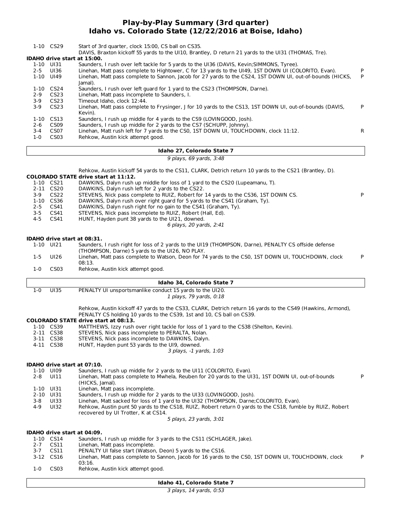#### **Play-by-Play Summary (3rd quarter) Idaho vs. Colorado State (12/22/2016 at Boise, Idaho)**

|          |                             | Idaho 27, Colorado State 7                                                                                          |    |
|----------|-----------------------------|---------------------------------------------------------------------------------------------------------------------|----|
| 1-0      | CS <sub>03</sub>            | Rehkow, Austin kick attempt good.                                                                                   |    |
| $3-4$    | CS <sub>07</sub>            | Linehan, Matt rush left for 7 yards to the CS0, 1ST DOWN UI, TOUCHDOWN, clock 11:12.                                | R. |
| $2 - 6$  | CS <sub>09</sub>            | Saunders, I rush up middle for 2 yards to the CS7 (SCHUPP, Johnny).                                                 |    |
| 1-10     | CS13                        | Saunders, I rush up middle for 4 yards to the CS9 (LOVINGOOD, Josh).                                                |    |
| $3-9$    | CS <sub>23</sub>            | Linehan, Matt pass complete to Frysinger, J for 10 yards to the CS13, 1ST DOWN UI, out-of-bounds (DAVIS,<br>Kevin). | P  |
| $3-9$    | CS <sub>2</sub> 3           | Timeout Idaho, clock 12:44.                                                                                         |    |
| $2 - 9$  | CS <sub>2</sub> 3           | Linehan, Matt pass incomplete to Saunders, I.                                                                       |    |
| 1-10     | CS24                        | Saunders, I rush over left quard for 1 yard to the CS23 (THOMPSON, Darne).                                          |    |
|          |                             | (Jamal).                                                                                                            |    |
| $1 - 10$ | UI49                        | Linehan, Matt pass complete to Sannon, Jacob for 27 yards to the CS24, 1ST DOWN UI, out-of-bounds (HICKS,           | P  |
| $2 - 5$  | UI36                        | Linehan, Matt pass complete to Hightower, C for 13 yards to the UI49, 1ST DOWN UI (COLORITO, Evan).                 | P  |
| 1-10     | UI31                        | Saunders, I rush over left tackle for 5 yards to the UI36 (DAVIS, Kevin; SIMMONS, Tyree).                           |    |
|          | IDAHO drive start at 15:00. |                                                                                                                     |    |
|          |                             | DAVIS, Braxton kickoff 55 yards to the UI10, Brantley, D return 21 yards to the UI31 (THOMAS, Tre).                 |    |
|          | 1-10 CS29                   | Start of 3rd quarter, clock 15:00, CS ball on CS35.                                                                 |    |

9 plays, 69 yards, 3:48

Rehkow, Austin kickoff 54 yards to the CS11, CLARK, Detrich return 10 yards to the CS21 (Brantley, D).

#### **COLORADO STATE drive start at 11:12.**

|         | 1-10 CS21 | DAWKINS, Dalyn rush up middle for loss of 1 yard to the CS20 (Lupeamanu, T).       |    |
|---------|-----------|------------------------------------------------------------------------------------|----|
|         | 2-11 CS20 | DAWKINS, Dalyn rush left for 2 yards to the CS22.                                  |    |
|         | 3-9 CS22  | STEVENS, Nick pass complete to RUIZ, Robert for 14 yards to the CS36, 1ST DOWN CS. | P. |
|         | 1-10 CS36 | DAWKINS, Dalyn rush over right guard for 5 yards to the CS41 (Graham, Ty).         |    |
| $2 - 5$ | CS41      | DAWKINS, Dalyn rush right for no gain to the CS41 (Graham, Ty).                    |    |
| 3-5     | CS41      | STEVENS, Nick pass incomplete to RUIZ, Robert (Hall, Ed).                          |    |
| 4-5     | CS41      | HUNT, Hayden punt 38 yards to the UI21, downed.                                    |    |
|         |           | 6 plays, 20 yards, 2:41                                                            |    |

#### **IDAHO drive start at 08:31.**

|       | 1-10 UI21        | Saunders, I rush right for loss of 2 yards to the UI19 (THOMPSON, Darne), PENALTY CS offside defense<br>(THOMPSON, Darne) 5 yards to the UI26, NO PLAY. |    |
|-------|------------------|---------------------------------------------------------------------------------------------------------------------------------------------------------|----|
| $1-5$ | UI26             | Linehan, Matt pass complete to Watson, Deon for 74 yards to the CS0, 1ST DOWN UI, TOUCHDOWN, clock<br>08:13.                                            | P. |
| 1-0.  | CS <sub>03</sub> | Rehkow, Austin kick attempt good.                                                                                                                       |    |

#### **Idaho 34, Colorado State 7**

1-0 UI35 PENALTY UI unsportsmanlike conduct 15 yards to the UI20.

1 plays, 79 yards, 0:18

Rehkow, Austin kickoff 47 yards to the CS33, CLARK, Detrich return 16 yards to the CS49 (Hawkins, Armond), PENALTY CS holding 10 yards to the CS39, 1st and 10, CS ball on CS39.

P

#### **COLORADO STATE drive start at 08:13.**

| 1-10 CS39 | MATTHEWS, Izzy rush over right tackle for loss of 1 yard to the CS38 (Shelton, Kevin). |
|-----------|----------------------------------------------------------------------------------------|
| 2-11 CS38 | STEVENS, Nick pass incomplete to PERALTA, Nolan.                                       |
| 3-11 CS38 | STEVENS, Nick pass incomplete to DAWKINS, Dalyn.                                       |
|           |                                                                                        |

4-11 CS38 HUNT, Hayden punt 53 yards to the UI9, downed.

3 plays, -1 yards, 1:03

#### **IDAHO drive start at 07:10.**

| 1-10 | UI09      | Saunders, I rush up middle for 2 yards to the UI11 (COLORITO, Evan).                               |
|------|-----------|----------------------------------------------------------------------------------------------------|
| 2-8  | UI11      | Linehan, Matt pass complete to Mwhela, Reuben for 20 yards to the UI31, 1ST DOWN UI, out-of-bounds |
|      |           | (HICKS, Jamal).                                                                                    |
|      | 1-10 UI31 | Linehan, Matt pass incomplete.                                                                     |
|      |           |                                                                                                    |

- 2-10 UI31 Saunders, I rush up middle for 2 yards to the UI33 (LOVINGOOD, Josh).
- 3-8 UI33 Linehan, Matt sacked for loss of 1 yard to the UI32 (THOMPSON, Darne;COLORITO, Evan).
- 4-9 UI32 Rehkow, Austin punt 50 yards to the CS18, RUIZ, Robert return 0 yards to the CS18, fumble by RUIZ, Robert recovered by UI Trotter, K at CS14.

5 plays, 23 yards, 3:01

#### **IDAHO drive start at 04:09.**

|         | 1-10 CS14 | Saunders, I rush up middle for 3 yards to the CS11 (SCHLAGER, Jake).                                |          |
|---------|-----------|-----------------------------------------------------------------------------------------------------|----------|
| $2 - 7$ | CS11      | Linehan, Matt pass incomplete.                                                                      |          |
| $3 - 7$ | CS11      | PENALTY UI false start (Watson, Deon) 5 yards to the CS16.                                          |          |
|         | 3-12 CS16 | Linehan, Matt pass complete to Sannon, Jacob for 16 yards to the CS0, 1ST DOWN UI, TOUCHDOWN, clock | <b>P</b> |
|         |           | 03:16.                                                                                              |          |
| $1 - 0$ | CS03.     | Rehkow, Austin kick attempt good.                                                                   |          |

#### **Idaho 41, Colorado State 7**

3 plays, 14 yards, 0:53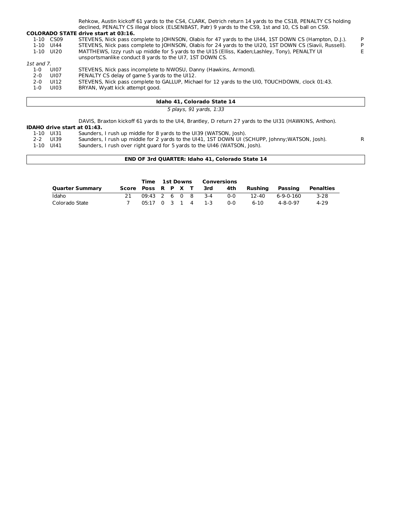|            |           | Rehkow, Austin kickoff 61 yards to the CS4, CLARK, Detrich return 14 yards to the CS18, PENALTY CS holding |    |
|------------|-----------|------------------------------------------------------------------------------------------------------------|----|
|            |           | declined, PENALTY CS illegal block (ELSENBAST, Patr) 9 yards to the CS9, 1st and 10, CS ball on CS9.       |    |
|            |           | <b>COLORADO STATE drive start at 03:16.</b>                                                                |    |
|            | 1-10 CS09 | STEVENS, Nick pass complete to JOHNSON, Olabis for 47 yards to the UI44, 1ST DOWN CS (Hampton, D.J.).      | P. |
|            | 1-10 UI44 | STEVENS, Nick pass complete to JOHNSON, Olabis for 24 yards to the UI20, 1ST DOWN CS (Siavii, Russell).    | P  |
|            | 1-10 UI20 | MATTHEWS, Izzy rush up middle for 5 yards to the UI15 (Elliss, Kaden;Lashley, Tony), PENALTY UI            |    |
|            |           | unsportsmanlike conduct 8 yards to the UI7, 1ST DOWN CS.                                                   |    |
| 1st and 7. |           |                                                                                                            |    |
| 1-0        | U107      | STEVENS, Nick pass incomplete to NWOSU, Danny (Hawkins, Armond).                                           |    |
| $2 - 0$    | UI07      | PENALTY CS delay of game 5 yards to the UI12.                                                              |    |
| $2 - 0$    | UI 12     | STEVENS, Nick pass complete to GALLUP, Michael for 12 yards to the UI0, TOUCHDOWN, clock 01:43.            |    |
| 1-0        | UI03      | BRYAN, Wyatt kick attempt good.                                                                            |    |
|            |           |                                                                                                            |    |
|            |           |                                                                                                            |    |

#### **Idaho 41, Colorado State 14**

5 plays, 91 yards, 1:33

DAVIS, Braxton kickoff 61 yards to the UI4, Brantley, D return 27 yards to the UI31 (HAWKINS, Anthon).

## **IDAHO drive start at 01:43.**

- 1-10 UI31 Saunders, I rush up middle for 8 yards to the UI39 (WATSON, Josh).
- 2-2 UI39 Saunders, I rush up middle for 2 yards to the UI41, 1ST DOWN UI (SCHUPP, Johnny;WATSON, Josh). R
- 1-10 UI41 Saunders, I rush over right guard for 5 yards to the UI46 (WATSON, Josh).

#### **END OF 3rd QUARTER: Idaho 41, Colorado State 14**

|                        | Time 1st Downs         |                   |  |  |  | Conversions |            |         |           |           |
|------------------------|------------------------|-------------------|--|--|--|-------------|------------|---------|-----------|-----------|
| <b>Quarter Summary</b> | Score Poss R P X T 3rd |                   |  |  |  |             | 4th        | Rushina | Passing   | Penalties |
| Idaho                  |                        | 09:43 2 6 0 8 3-4 |  |  |  |             | ი-ი        | 12-40   | 6-9-0-160 | $3 - 28$  |
| Colorado State         |                        | 05:17 0 3 1 4 1-3 |  |  |  |             | <u>ດ-ດ</u> | 6-10    | 4-8-0-97  | 4-29      |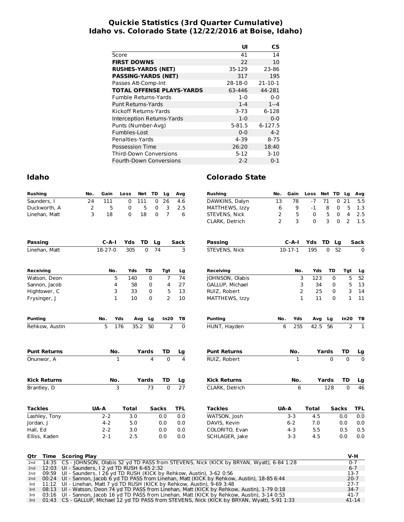#### **Quickie Statistics (3rd Quarter Cumulative) Idaho vs. Colorado State (12/22/2016 at Boise, Idaho)**

|                                  | UI        | СS            |
|----------------------------------|-----------|---------------|
| Score                            | 41        | 14            |
| <b>FIRST DOWNS</b>               | 22        | 10            |
| <b>RUSHES-YARDS (NET)</b>        | 35-129    | 23-86         |
| <b>PASSING-YARDS (NET)</b>       | 317       | 195           |
| Passes Att-Comp-Int              | $28-18-0$ | $21 - 10 - 1$ |
| <b>TOTAL OFFENSE PLAYS-YARDS</b> | 63-446    | 44-281        |
| <b>Fumble Returns-Yards</b>      | $1-0$     | $0 - 0$       |
| Punt Returns-Yards               | $1 - 4$   | $1 - 4$       |
| Kickoff Returns-Yards            | $3 - 73$  | 6-128         |
| Interception Returns-Yards       | $1-0$     | $0 - 0$       |
| Punts (Number-Avg)               | 5-81.5    | 6-127.5       |
| Fumbles-Lost                     | $0 - 0$   | $4 - 2$       |
| Penalties-Yards                  | 4-39      | $8 - 75$      |
| Possession Time                  | 26:20     | 18:40         |
| <b>Third-Down Conversions</b>    | $5 - 12$  | $3-10$        |
| Fourth-Down Conversions          | $2 - 2$   | $0 - 1$       |

| <b>Rushing</b>                                              | No.                 | Gain      | Loss         | Net              | TD           | Lg             | Avq            | <b>Rushing</b>                                                                          | No.            | Gain         | Loss         | Net TD   | Lg                | Avg                            |
|-------------------------------------------------------------|---------------------|-----------|--------------|------------------|--------------|----------------|----------------|-----------------------------------------------------------------------------------------|----------------|--------------|--------------|----------|-------------------|--------------------------------|
| Saunders, I                                                 | 24                  | 111       | 0            | $\overline{111}$ | 0            | 26             | 4.6            | DAWKINS, Dalyn                                                                          | 13             | 78           | $-7$         | 71       | $\mathbf 0$<br>21 | $\overline{5.5}$               |
| Duckworth, A                                                | 2                   | 5         | 0            | 5                | 0            | 3              | 2.5            | MATTHEWS, Izzy                                                                          | 6              | 9            | -1           | 8        | 5<br>0            | 1.3                            |
| Linehan, Matt                                               | 3                   | 18        | 0            | 18               | 0            | $\overline{7}$ | 6              | STEVENS, Nick                                                                           | 2              | 5            | $\mathbf 0$  | 5        | 4<br>0            | 2.5                            |
|                                                             |                     |           |              |                  |              |                |                | CLARK, Detrich                                                                          | $\overline{2}$ | 3            | 0            | 3        | 2<br>$\mathbf{0}$ | 1.5                            |
| <b>Passing</b>                                              |                     | $C-A-I$   | Yds          | TD               | Lg           |                | Sack           | Passing                                                                                 |                | $C-A-I$      | Yds          | TD.      | Lg                | Sack                           |
| Linehan, Matt                                               |                     | $18-27-0$ | 305          | $\Omega$         | 74           |                | 3              | STEVENS, Nick                                                                           |                | $10-17-1$    | 195          | 0        | 52                | $\Omega$                       |
| Receiving                                                   |                     | No.       | Yds          | TD               |              | Tgt            | Lg             | <b>Receiving</b>                                                                        |                | No.          | Yds          | TD       | Tgt               | Lg                             |
| Watson, Deon                                                |                     | 5         | 140          |                  | 0            | $\overline{7}$ | 74             | JOHNSON, Olabis                                                                         |                | 3            | 123          |          | $\mathbf 0$       | 5<br>52                        |
| Sannon, Jacob                                               |                     | 4         | 58           |                  | 0            | 4              | 27             | GALLUP, Michael                                                                         |                | 3            | 34           |          | 0                 | 5<br>13                        |
| Hightower, C                                                |                     | 3         | 33           |                  | 0            | 5              | 13             | RUIZ, Robert                                                                            |                | 2            | 25           |          | 0                 | 3<br>14                        |
| Frysinger, J                                                |                     | 1         | 10           |                  | $\Omega$     | $\overline{2}$ | 10             | MATTHEWS, Izzy                                                                          |                | $\mathbf{1}$ | 11           |          | $\Omega$          | $\mathbf{1}$<br>11             |
| <b>Punting</b>                                              |                     | No.       | Yds          | Avg              | Lg           | In20           | TB             | <b>Punting</b>                                                                          | No.            | Yds          | Avg          | Lg       | In20              | TВ                             |
| Rehkow, Austin                                              |                     | 5         | 176          | 35.2             | 50           | $\overline{2}$ | $\Omega$       | HUNT, Hayden                                                                            | 6              | 255          | 42.5         | 56       |                   | $\overline{2}$<br>$\mathbf{1}$ |
| <b>Punt Returns</b>                                         |                     | No.       |              | Yards            |              | TD             | Lg             | <b>Punt Returns</b>                                                                     |                | No.          |              | Yards    | TD                | Lg                             |
| Onunwor, A                                                  |                     |           | $\mathbf{1}$ |                  | 4            | $\Omega$       | $\overline{a}$ | RUIZ, Robert                                                                            |                | $\mathbf{1}$ |              | $\Omega$ | $\Omega$          | $\Omega$                       |
| <b>Kick Returns</b>                                         |                     | No.       |              | Yards            |              | TD             | Lg             | <b>Kick Returns</b>                                                                     |                | No.          |              | Yards    | TD                | Lg                             |
| Brantley, D                                                 |                     |           | 3            |                  | 73           | $\Omega$       | 27             | CLARK. Detrich                                                                          |                | 6            |              | 128      | $\Omega$          | 46                             |
| <b>Tackles</b>                                              |                     | UA-A      | <b>Total</b> |                  | <b>Sacks</b> |                | <b>TFL</b>     | <b>Tackles</b>                                                                          |                | <b>UA-A</b>  | <b>Total</b> |          | <b>Sacks</b>      | <b>TFL</b>                     |
| Lashley, Tony                                               |                     | $2 - 2$   | 3.0          |                  |              | 0.0            | 0.0            | WATSON, Josh                                                                            |                | $3 - 3$      | 4.5          |          | 0.0               | 0.0                            |
| Jordan, I                                                   |                     | $4 - 2$   | 5.0          |                  |              | 0.0            | 0.0            | DAVIS, Kevin                                                                            |                | $6 - 2$      | 7.0          |          | 0.0               | 0.0                            |
| Hall, Ed                                                    |                     | $2 - 2$   | 3.0          |                  |              | 0.0            | 0.0            | COLORITO, Evan                                                                          |                | $4 - 3$      | 5.5          |          | 0.5               | 0.5                            |
| Elliss, Kaden                                               |                     | $2 - 1$   | 2.5          |                  |              | 0.0            | 0.0            | SCHLAGER, Jake                                                                          |                | $3-3$        | 4.5          |          | 0.0               | 0.0                            |
| Time<br>Qtr                                                 | <b>Scoring Play</b> |           |              |                  |              |                |                |                                                                                         |                |              |              |          |                   | V-H                            |
| 14:35<br>2 <sub>nd</sub>                                    |                     |           |              |                  |              |                |                | CS - JOHNSON, Olabis 52 yd TD PASS from STEVENS, Nick (KICK by BRYAN, Wyatt), 6-84 1:28 |                |              |              |          |                   | $0 - 7$                        |
| 12:03 UI - Saunders, I 2 yd TD RUSH 6-65 2:32<br>2nd<br>2nd |                     |           |              |                  |              |                |                | $0.50$ III Coundary LOC vd TD BUCH (VICV by Boblow Auction) 2.62 0.56                   |                |              |              |          |                   | $6 - 7$<br>1 2 7               |

|  | 2nd $12:03$ UI - Saunders, I 2 yd TD RUSH 6-65 2:32                                               | .6-7     |
|--|---------------------------------------------------------------------------------------------------|----------|
|  | 2nd 09:59 UI - Saunders, I 26 yd TD RUSH (KICK by Rehkow, Austin), 3-62 0:56                      | $13-7$   |
|  | 2nd 00:24 UI - Sannon, Jacob 6 yd TD PASS from Linehan, Matt (KICK by Rehkow, Austin), 18-85 6:44 | $20 - 7$ |
|  | 3rd 11:12 UI - Linehan, Matt 7 yd TD RUSH (KICK by Rehkow, Austin), 9-69 3:48                     | 27-7     |
|  | 3rd 08:13 UI - Watson, Deon 74 yd TD PASS from Linehan, Matt (KICK by Rehkow, Austin), 1-79 0:18  | $34-7$   |
|  | 3rd 03:16 UI - Sannon, Jacob 16 yd TD PASS from Linehan, Matt (KICK by Rehkow, Austin), 3-14 0:53 | 41-7     |
|  | 3rd 01:43 CS - GALLUP, Michael 12 yd TD PASS from STEVENS, Nick (KICK by BRYAN, Wyatt), 5-91 1:33 | 41-14    |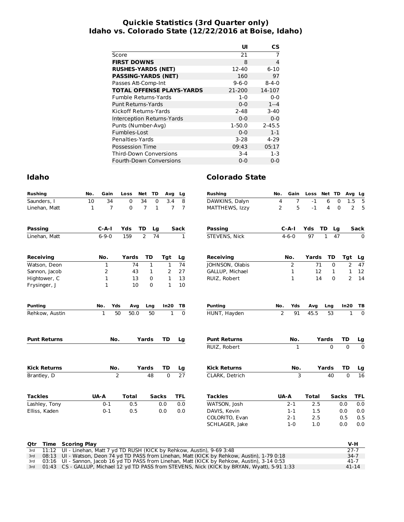#### **Quickie Statistics (3rd Quarter only) Idaho vs. Colorado State (12/22/2016 at Boise, Idaho)**

|                                  | UI          | СS          |
|----------------------------------|-------------|-------------|
| Score                            | 21          | 7           |
| <b>FIRST DOWNS</b>               | 8           | 4           |
| <b>RUSHES-YARDS (NET)</b>        | 12-40       | $6 - 10$    |
| <b>PASSING-YARDS (NET)</b>       | 160         | 97          |
| Passes Att-Comp-Int              | $9 - 6 - 0$ | $8 - 4 - 0$ |
| <b>TOTAL OFFENSE PLAYS-YARDS</b> | 21-200      | 14-107      |
| Fumble Returns-Yards             | $1-0$       | $0 - 0$     |
| Punt Returns-Yards               | $0 - 0$     | $1 - 4$     |
| Kickoff Returns-Yards            | $2 - 48$    | $3-40$      |
| Interception Returns-Yards       | $0 - 0$     | $0 - 0$     |
| Punts (Number-Avg)               | $1-50.0$    | $2 - 45.5$  |
| Fumbles-Lost                     | $0 - 0$     | $1 - 1$     |
| Penalties-Yards                  | $3-28$      | $4 - 29$    |
| Possession Time                  | 09:43       | 05:17       |
| <b>Third-Down Conversions</b>    | $3 - 4$     | $1 - 3$     |
| Fourth-Down Conversions          | $0 - 0$     | $0 - 0$     |

| Rushing             | No. | Gain           | Loss         | Net            | TD           | Avg            | Lg              | <b>Rushing</b>      | No.            | Gain           | Loss         | Net TD   |              | Avg<br>Lg                |
|---------------------|-----|----------------|--------------|----------------|--------------|----------------|-----------------|---------------------|----------------|----------------|--------------|----------|--------------|--------------------------|
| Saunders, I         | 10  | 34             | 0            | 34             | $\mathbf 0$  | 3.4            | 8               | DAWKINS, Dalyn      | 4              | $\overline{7}$ | $-1$         | 6        | 0            | 1.5<br>5                 |
| Linehan, Matt       | 1   | $\overline{7}$ | 0            | $\overline{7}$ | 1            | $\overline{7}$ | 7               | MATTHEWS, Izzy      | 2              | 5              | $-1$         | 4        | 0            | 2<br>5                   |
| Passing             |     | $C-A-I$        | Yds          | <b>TD</b>      | Lg           |                | <b>Sack</b>     | <b>Passing</b>      |                | $C-A-I$        | Yds          | TD       | Lg           | Sack                     |
| Linehan, Matt       |     | $6 - 9 - 0$    | 159          | $\overline{2}$ | 74           |                | 1               | STEVENS, Nick       |                | $4 - 6 - 0$    | 97           | 1        | 47           | $\Omega$                 |
| Receiving           |     | No.            | Yards        |                | TD           | Tgt            | Lg              | Receiving           |                | No.            | Yards        | TD       | Tgt          | Lg                       |
| Watson, Deon        |     | 1              | 74           |                | 1            | 1              | 74              | JOHNSON, Olabis     |                | 2              | 71           | 0        |              | 2<br>47                  |
| Sannon, Jacob       |     | 2              | 43           |                | 1            | 2              | 27              | GALLUP, Michael     |                | $\mathbf{1}$   | 12           | 1        |              | 1<br>12                  |
| Hightower, C        |     | 1              | 13           |                | 0            | 1              | 13              | RUIZ, Robert        |                | $\mathbf{1}$   | 14           | $\Omega$ |              | 2<br>14                  |
| Frysinger, J        |     | $\mathbf{1}$   | 10           |                | 0            | $\mathbf{1}$   | 10              |                     |                |                |              |          |              |                          |
| Punting             |     | Yds<br>No.     | Avg          |                | Lng          | In20           | тв              | <b>Punting</b>      | No.            | Yds            | Avg          | Lng      | In20         | TВ                       |
| Rehkow, Austin      |     | $\mathbf 1$    | 50<br>50.0   |                | 50           | $\mathbf{1}$   | $\mathbf 0$     | HUNT, Hayden        | $\overline{2}$ | 91             | 45.5         | 53       |              | $\Omega$<br>$\mathbf{1}$ |
| <b>Punt Returns</b> |     | No.            |              | Yards          |              | <b>TD</b>      | Lg              | <b>Punt Returns</b> |                | No.            |              | Yards    | TD           | Lg                       |
|                     |     |                |              |                |              |                |                 | RUIZ, Robert        |                | 1              |              | $\Omega$ | $\Omega$     | $\overline{0}$           |
| Kick Returns        |     | No.            |              | Yards          |              | <b>TD</b>      | Lg              | <b>Kick Returns</b> |                | No.            |              | Yards    | TD           | Lg                       |
| Brantley, D         |     |                | 2            |                | 48           | $\mathbf 0$    | $\overline{27}$ | CLARK, Detrich      |                | 3              |              | 40       | $\Omega$     | $\overline{16}$          |
| Tackles             |     | UA-A           | <b>Total</b> |                | <b>Sacks</b> |                | <b>TFL</b>      | <b>Tackles</b>      | <b>UA-A</b>    |                | <b>Total</b> |          | <b>Sacks</b> | <b>TFL</b>               |
| Lashley, Tony       |     | $0 - 1$        | 0.5          |                |              | 0.0            | 0.0             | WATSON, Josh        |                | $2 - 1$        | 2.5          |          | 0.0          | 0.0                      |
| Elliss, Kaden       |     | $0 - 1$        | 0.5          |                |              | 0.0            | 0.0             | DAVIS, Kevin        |                | $1 - 1$        | 1.5          |          | 0.0          | 0.0                      |
|                     |     |                |              |                |              |                |                 | COLORITO, Evan      |                | $2 - 1$        | 2.5          |          | 0.5          | 0.5                      |
|                     |     |                |              |                |              |                |                 | SCHLAGER, Jake      |                | $1 - 0$        | 1.0          |          | 0.0          | 0.0                      |

|  | <b>Qtr Time Scoring Play</b>                                                                      | V-H       |
|--|---------------------------------------------------------------------------------------------------|-----------|
|  | 3rd 11:12 UI - Linehan, Matt 7 yd TD RUSH (KICK by Rehkow, Austin), 9-69 3:48                     | $27-7$    |
|  | 3rd 08:13 UI - Watson, Deon 74 yd TD PASS from Linehan, Matt (KICK by Rehkow, Austin), 1-79 0:18  | $34-7$    |
|  | 3rd 03:16 UI - Sannon, Jacob 16 yd TD PASS from Linehan, Matt (KICK by Rehkow, Austin), 3-14 0:53 | $41 - 7$  |
|  | 3rd 01:43 CS - GALLUP, Michael 12 yd TD PASS from STEVENS, Nick (KICK by BRYAN, Wyatt), 5-91 1:33 | $41 - 14$ |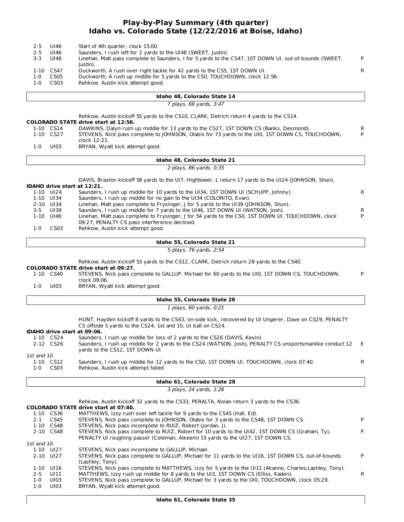#### **Play-by-Play Summary (4th quarter) Idaho vs. Colorado State (12/22/2016 at Boise, Idaho)**

| $2 - 5$     | UI46                        | Start of 4th quarter, clock 15:00.                                                                       |        |
|-------------|-----------------------------|----------------------------------------------------------------------------------------------------------|--------|
| $2 - 5$     | UI46                        | Saunders, I rush left for 2 yards to the UI48 (SWEET, Justin).                                           |        |
| $3 - 3$     | UI48                        | Linehan, Matt pass complete to Saunders, I for 5 yards to the CS47, 1ST DOWN UI, out-of-bounds (SWEET,   | P      |
|             |                             | Justin).                                                                                                 |        |
|             | 1-10 CS47                   | Duckworth, A rush over right tackle for 42 yards to the CS5, 1ST DOWN UI.                                | R      |
| $1 - 0$     | CS05                        | Duckworth, A rush up middle for 5 yards to the CS0, TOUCHDOWN, clock 12:56.                              |        |
| $1 - 0$     | CS <sub>03</sub>            | Rehkow, Austin kick attempt good.                                                                        |        |
|             |                             |                                                                                                          |        |
|             |                             |                                                                                                          |        |
|             |                             | Idaho 48, Colorado State 14                                                                              |        |
|             |                             | 7 plays, 69 yards, 3:47                                                                                  |        |
|             |                             | Rehkow, Austin kickoff 55 yards to the CS10, CLARK, Detrich return 4 yards to the CS14.                  |        |
|             |                             | <b>COLORADO STATE drive start at 12:56.</b>                                                              |        |
|             | 1-10 CS14                   | DAWKINS, Dalyn rush up middle for 13 yards to the CS27, 1ST DOWN CS (Banks, Desmond).                    |        |
|             | 1-10 CS27                   | STEVENS, Nick pass complete to JOHNSON, Olabis for 73 yards to the UI0, 1ST DOWN CS, TOUCHDOWN,          | R<br>P |
|             |                             | clock 12:21.                                                                                             |        |
| $1-0$       | UI03                        | BRYAN, Wyatt kick attempt good.                                                                          |        |
|             |                             |                                                                                                          |        |
|             |                             | Idaho 48, Colorado State 21                                                                              |        |
|             |                             |                                                                                                          |        |
|             |                             | 2 plays, 86 yards, 0:35                                                                                  |        |
|             |                             | DAVIS, Braxton kickoff 58 yards to the UI7, Hightower, L return 17 yards to the UI24 (JOHNSON, Shun).    |        |
|             | IDAHO drive start at 12:21. |                                                                                                          |        |
|             | 1-10 UI24                   | Saunders, I rush up middle for 10 yards to the UI34, 1ST DOWN UI (SCHUPP, Johnny).                       | R      |
|             | 1-10 UI34                   | Saunders, I rush up middle for no gain to the UI34 (COLORITO, Evan).                                     |        |
|             | 2-10 UI34                   | Linehan, Matt pass complete to Frysinger, J for 5 yards to the UI39 (JOHNSON, Shun).                     |        |
| $3 - 5$     | UI39                        | Saunders, I rush up middle for 7 yards to the UI46, 1ST DOWN UI (WATSON, Josh).                          | R      |
|             | 1-10 UI46                   | Linehan, Matt pass complete to Frysinger, J for 54 yards to the CS0, 1ST DOWN UI, TOUCHDOWN, clock       | P      |
|             |                             | 09:27, PENALTY CS pass interference declined.                                                            |        |
| $1-0$       | CS <sub>03</sub>            | Rehkow, Austin kick attempt good.                                                                        |        |
|             |                             |                                                                                                          |        |
|             |                             | Idaho 55, Colorado State 21                                                                              |        |
|             |                             | 5 plays, 76 yards, 2:54                                                                                  |        |
|             |                             |                                                                                                          |        |
|             |                             | Rehkow, Austin kickoff 53 yards to the CS12, CLARK, Detrich return 28 yards to the CS40.                 |        |
|             |                             | <b>COLORADO STATE drive start at 09:27.</b>                                                              |        |
|             | 1-10 CS40                   | STEVENS, Nick pass complete to GALLUP, Michael for 60 yards to the UI0, 1ST DOWN CS, TOUCHDOWN,          | P      |
|             |                             | clock 09:06.                                                                                             |        |
| $1 - 0$     | UI03                        | BRYAN, Wyatt kick attempt good.                                                                          |        |
|             |                             |                                                                                                          |        |
|             |                             | Idaho 55, Colorado State 28                                                                              |        |
|             |                             | 1 plays, 60 yards, 0:21                                                                                  |        |
|             |                             |                                                                                                          |        |
|             |                             | HUNT, Hayden kickoff 8 yards to the CS43, on-side kick, recovered by UI Ungerer, Dave on CS29, PENALTY   |        |
|             |                             | CS offside 5 yards to the CS24, 1st and 10, UI ball on CS24.                                             |        |
|             | IDAHO drive start at 09:06. |                                                                                                          |        |
|             | 1-10 CS24                   | Saunders, I rush up middle for loss of 2 yards to the CS26 (DAVIS, Kevin).                               |        |
|             | 2-12 CS26                   | Saunders, I rush up middle for 2 yards to the CS24 (WATSON, Josh), PENALTY CS unsportsmanlike conduct 12 | E.     |
|             |                             | yards to the CS12, 1ST DOWN UI.                                                                          |        |
| 1st and 10. |                             |                                                                                                          |        |
|             | 1-10 CS12                   | Saunders, I rush up middle for 12 yards to the CS0, 1ST DOWN UI, TOUCHDOWN, clock 07:40.                 | R      |
| $1-0$       | CS03                        | Rehkow, Austin kick attempt failed.                                                                      |        |
|             |                             |                                                                                                          |        |
|             |                             | Idaho 61, Colorado State 28                                                                              |        |
|             |                             | 3 plays, 24 yards, 1:26                                                                                  |        |
|             |                             |                                                                                                          |        |
|             |                             | Rehkow, Austin kickoff 32 yards to the CS33, PERALTA, Nolan return 3 yards to the CS36.                  |        |
|             |                             | <b>COLORADO STATE drive start at 07:40.</b>                                                              |        |
|             | 1-10 CS36                   | MATTHEWS, Izzy rush over left tackle for 9 yards to the CS45 (Hall, Ed).                                 |        |
| 2-1         | CS45                        | STEVENS, Nick pass complete to JOHNSON, Olabis for 3 yards to the CS48, 1ST DOWN CS.                     | P      |
|             | 1-10 CS48                   | STEVENS, Nick pass incomplete to RUIZ, Robert (Jordan, J).                                               |        |
|             | 2-10 CS48                   | STEVENS, Nick pass complete to RUIZ, Robert for 10 yards to the UI42, 1ST DOWN CS (Graham, Ty),          | P      |
|             |                             | PENALTY UI roughing passer (Coleman, Aikeem) 15 yards to the UI27, 1ST DOWN CS.                          |        |
| 1st and 10. |                             |                                                                                                          |        |
|             | 1-10 UI27                   | STEVENS, Nick pass incomplete to GALLUP, Michael.                                                        |        |
|             | 2-10 UI27                   | STEVENS, Nick pass complete to GALLUP, Michael for 11 yards to the UI16, 1ST DOWN CS, out-of-bounds      | P      |
|             |                             | (Lashley, Tony).                                                                                         |        |
|             | 1-10 UI16                   | STEVENS, Nick pass complete to MATTHEWS, Izzy for 5 yards to the UI11 (Akanno, Charles; Lashley, Tony).  |        |
| $2 - 5$     | UI11                        | MATTHEWS, Izzy rush up middle for 8 yards to the UI3, 1ST DOWN CS (Elliss, Kaden).                       | R.     |

1-0 UI03 STEVENS, Nick pass complete to GALLUP, Michael for 3 yards to the UI0, TOUCHDOWN, clock 05:29.

1-0 UI03 BRYAN, Wyatt kick attempt good.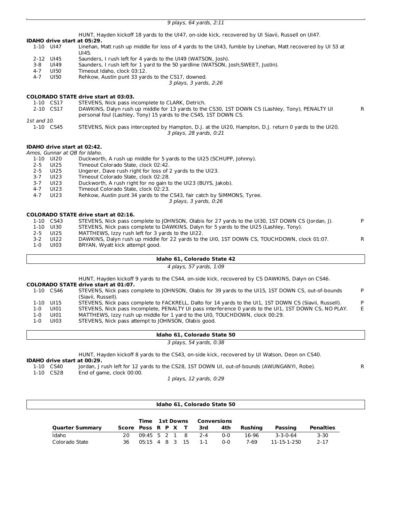9 plays, 64 yards, 2:11

**IDAHO drive start at 05:29.** HUNT, Hayden kickoff 18 yards to the UI47, on-side kick, recovered by UI Siavii, Russell on UI47. Linehan, Matt rush up middle for loss of 4 yards to the UI43, fumble by Linehan, Matt recovered by UI 53 at UI45. 2-12 UI45 Saunders, I rush left for 4 yards to the UI49 (WATSON, Josh).<br>2-8 UI49 Saunders, I rush left for 1 vard to the 50 vardline (WATSON, I Saunders, I rush left for 1 yard to the 50 yardline (WATSON, Josh;SWEET, Justin).

- 4-7 UI50 Timeout Idaho, clock 03:12.<br>4-7 UI50 Rehkow, Austin punt 33 yar
- 3 plays, 3 yards, 2:26 4-7 UI50 Rehkow, Austin punt 33 yards to the CS17, downed.

#### **COLORADO STATE drive start at 03:03.**

| 1-10 CS17   | STEVENS, Nick pass incomplete to CLARK, Detrich.                                                       |
|-------------|--------------------------------------------------------------------------------------------------------|
| 2-10 CS17   | DAWKINS, Dalyn rush up middle for 13 yards to the CS30, 1ST DOWN CS (Lashley, Tony), PENALTY UI        |
|             | personal foul (Lashley, Tony) 15 yards to the CS45, 1ST DOWN CS.                                       |
| 1st and 10. |                                                                                                        |
| 1-10 CS45   | STEVENS, Nick pass intercepted by Hampton, D.J. at the UI20, Hampton, D.J. return 0 yards to the UI20. |
|             | 3 plays, 28 yards, 0:21                                                                                |

R

#### **IDAHO drive start at 02:42.**

Amos, Gunnar at QB for Idaho.

|         | 11103, Odiniai at O <i>D I</i> OI Iddiio, |                                                                         |
|---------|-------------------------------------------|-------------------------------------------------------------------------|
|         | 1-10 UI20                                 | Duckworth, A rush up middle for 5 yards to the UI25 (SCHUPP, Johnny).   |
| $2 - 5$ | UI25                                      | Timeout Colorado State, clock 02:42.                                    |
| 2-5     | UI25                                      | Ungerer, Dave rush right for loss of 2 yards to the UI23.               |
| $3 - 7$ | UI23                                      | Timeout Colorado State, clock 02:28.                                    |
| $3 - 7$ | UI23                                      | Duckworth, A rush right for no gain to the UI23 (BUYS, Jakob).          |
| 4-7     | UI23                                      | Timeout Colorado State, clock 02:23.                                    |
| 4-7     | UI23                                      | Rehkow, Austin punt 34 yards to the CS43, fair catch by SIMMONS, Tyree. |
|         |                                           | 3 plays, 3 yards, 0:26                                                  |
|         |                                           |                                                                         |

**COLORADO STATE drive start at 02:16.**

|         | 1-10 CS43 | STEVENS, Nick pass complete to JOHNSON, Olabis for 27 yards to the UI30, 1ST DOWN CS (Jordan, J). | P. |
|---------|-----------|---------------------------------------------------------------------------------------------------|----|
|         | 1-10 UI30 | STEVENS, Nick pass complete to DAWKINS, Dalyn for 5 yards to the UI25 (Lashley, Tony).            |    |
|         | 2-5 UI25  | MATTHEWS, Izzy rush left for 3 yards to the UI22.                                                 |    |
| $3 - 2$ | UI22      | DAWKINS, Dalyn rush up middle for 22 yards to the UI0, 1ST DOWN CS, TOUCHDOWN, clock 01:07.       | R. |
| 1-0     | UI03      | BRYAN, Wyatt kick attempt good.                                                                   |    |
|         |           |                                                                                                   |    |

#### **Idaho 61, Colorado State 42**

4 plays, 57 yards, 1:09

HUNT, Hayden kickoff 9 yards to the CS44, on-side kick, recovered by CS DAWKINS, Dalyn on CS46.

#### **COLORADO STATE drive start at 01:07.**

|     |           | COLONADO 3 IAIL GINE SLAIL AL VIIVI.                                                                   |    |
|-----|-----------|--------------------------------------------------------------------------------------------------------|----|
|     | 1-10 CS46 | STEVENS, Nick pass complete to JOHNSON, Olabis for 39 yards to the UI15, 1ST DOWN CS, out-of-bounds    | P. |
|     |           | (Siavii, Russell).                                                                                     |    |
|     | 1-10 UI15 | STEVENS, Nick pass complete to FACKRELL, Dalto for 14 yards to the UI1, 1ST DOWN CS (Siavii, Russell). | P. |
| 1-0 | UI01      | STEVENS, Nick pass incomplete, PENALTY UI pass interference 0 yards to the UI1, 1ST DOWN CS, NO PLAY.  | E. |
| 1-0 | UI01      | MATTHEWS, Izzy rush up middle for 1 yard to the UI0, TOUCHDOWN, clock 00:29.                           |    |
| 1-0 | UI03      | STEVENS, Nick pass attempt to JOHNSON, Olabis good.                                                    |    |
|     |           |                                                                                                        |    |

#### **Idaho 61, Colorado State 50**

3 plays, 54 yards, 0:38

HUNT, Hayden kickoff 8 yards to the CS43, on-side kick, recovered by UI Watson, Deon on CS40.

## **IDAHO drive start at 00:29.**

1-10 CS40 Jordan, J rush left for 12 yards to the CS28, 1ST DOWN UI, out-of-bounds (AWUNGANYI, Robe). R<br>1-10 CS28 End of game, clock 00:00.

End of game, clock 00:00.

1 plays, 12 yards, 0:29

|                        |                    | <b>Time 1st Downs Conversions</b> |  |  |  |  |                   |     |         |             |           |
|------------------------|--------------------|-----------------------------------|--|--|--|--|-------------------|-----|---------|-------------|-----------|
| <b>Quarter Summary</b> | Score Poss R P X T |                                   |  |  |  |  | 3rd               | 4th | Rushina | Passing     | Penalties |
| Idaho                  | 20.                |                                   |  |  |  |  | 09:45 5 2 1 8 2-4 | ი-ი | 16-96   | 3-3-0-64    | $3 - 30$  |
| Colorado State         | 36                 | $05:15$ 4 8 3 15 1-1              |  |  |  |  |                   | ი-ი | 7-69    | 11-15-1-250 | $2 - 17$  |